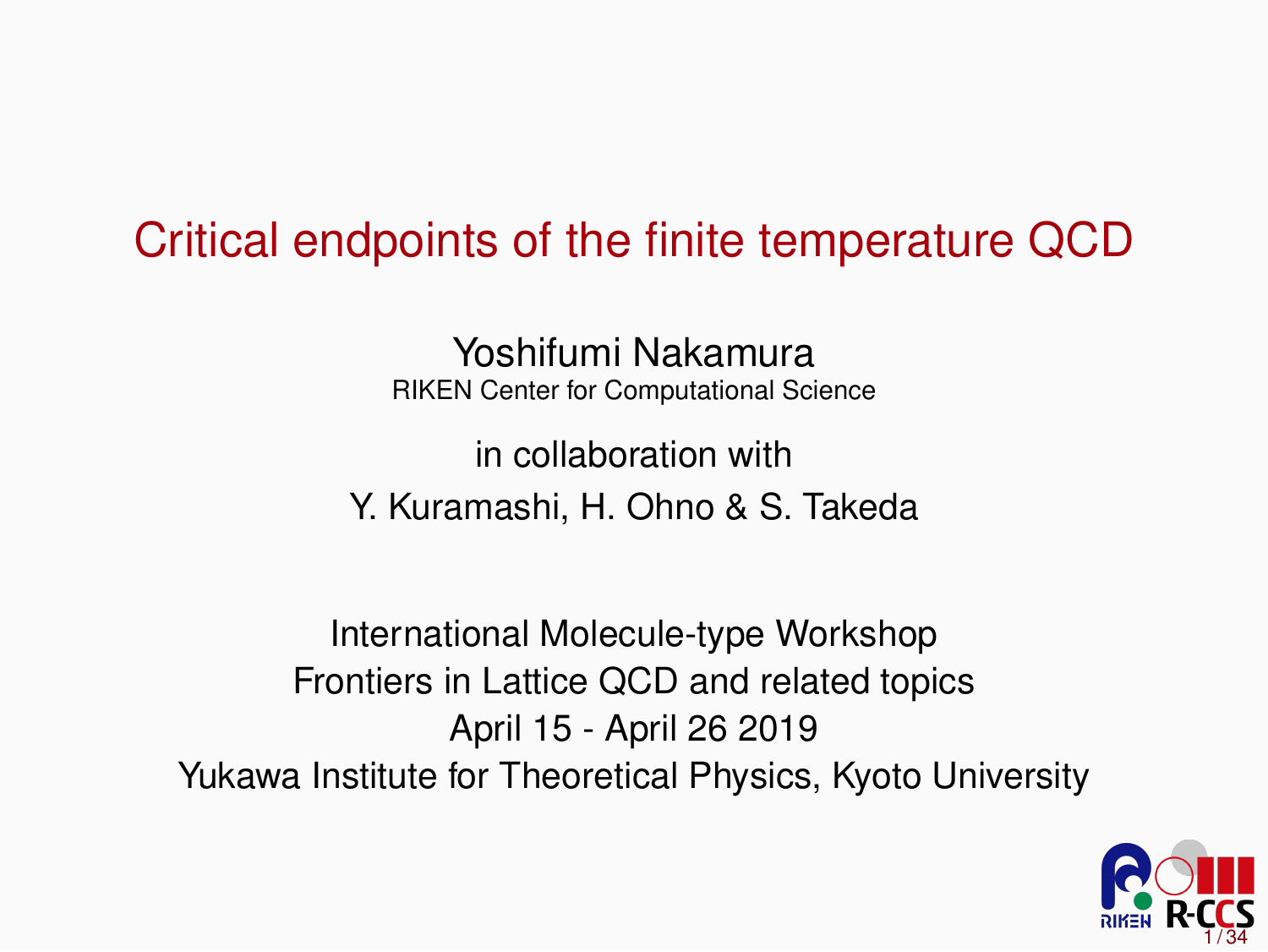#### Critical endpoints of the finite temperature QCD

Yoshifumi Nakamura RIKEN Center for Computational Science

in collaboration with Y. Kuramashi, H. Ohno & S. Takeda

International Molecule-type Workshop Frontiers in Lattice QCD and related topics April 15 - April 26 2019 Yukawa Institute for Theoretical Physics, Kyoto University

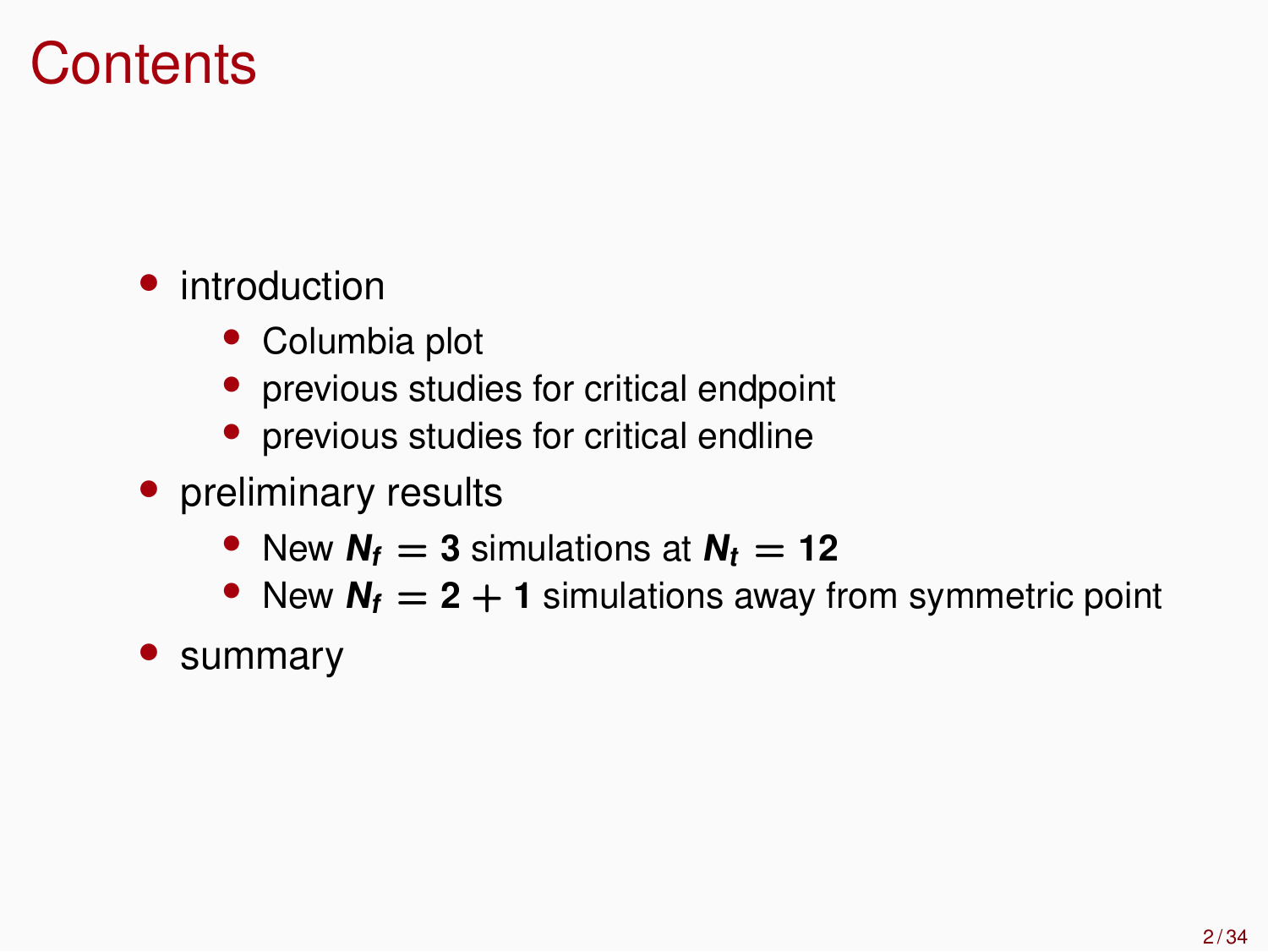#### **Contents**

- introduction
	- Columbia plot
	- previous studies for critical endpoint
	- previous studies for critical endline
- preliminary results
	- New  $N_f = 3$  simulations at  $N_f = 12$
	- New  $N_f = 2 + 1$  simulations away from symmetric point
- summary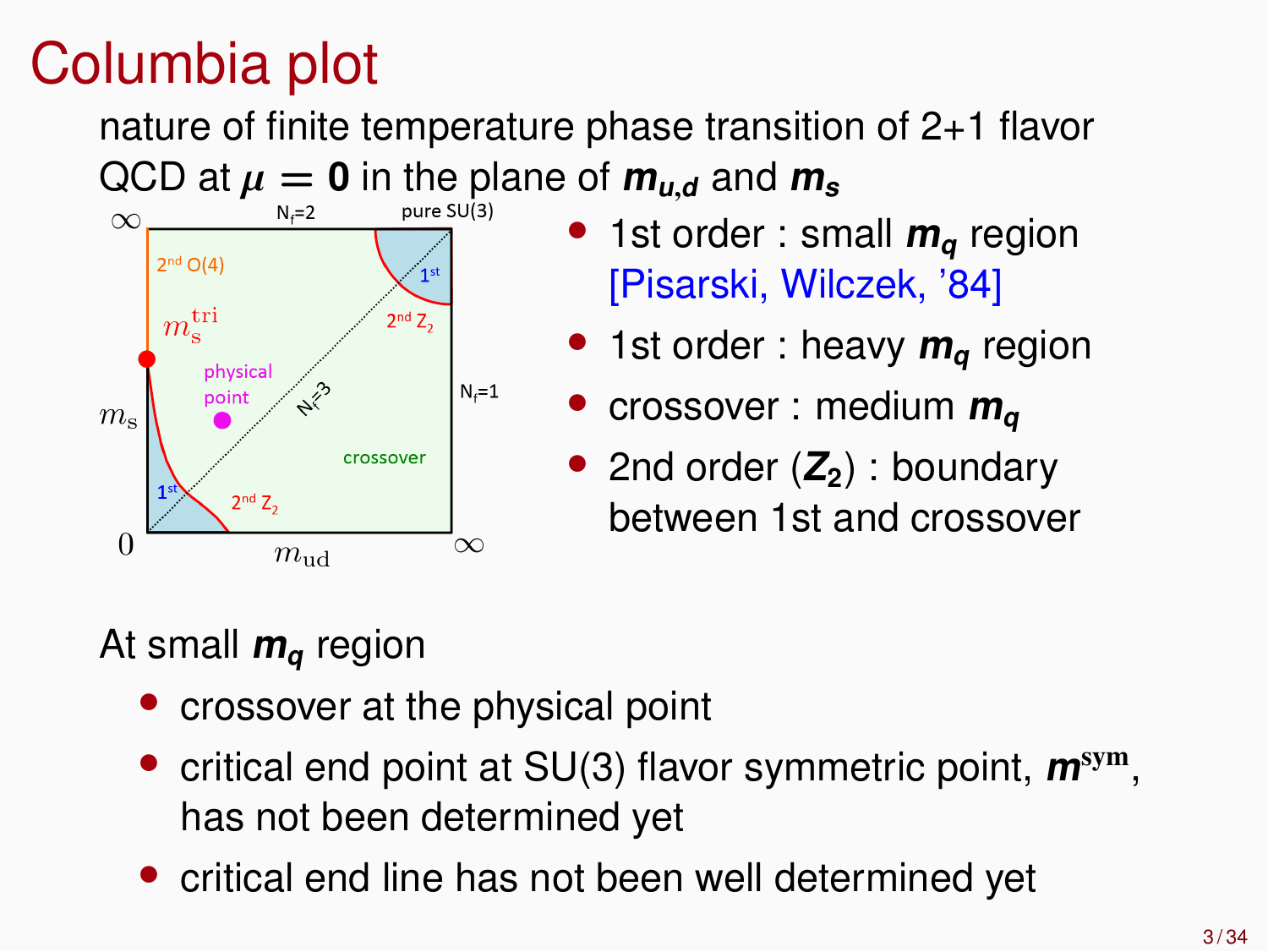# Columbia plot

nature of finite temperature phase transition of 2+1 flavor  $QCD$  at  $\mu = 0$  in the plane of  $m_{u,d}$  and  $m_s$ 



- 1st order : small  $m_q$  region [Pisarski, Wilczek, '84]
- 1st order : heavy  $m_q$  region
- crossover : medium **<sup>m</sup><sup>q</sup>**
- 2nd order (**Z2**) : boundary between 1st and crossover

#### At small **<sup>m</sup><sup>q</sup>** region

- crossover at the physical point
- critical end point at SU(3) flavor symmetric point, **<sup>m</sup>**sym, has not been determined yet
- critical end line has not been well determined yet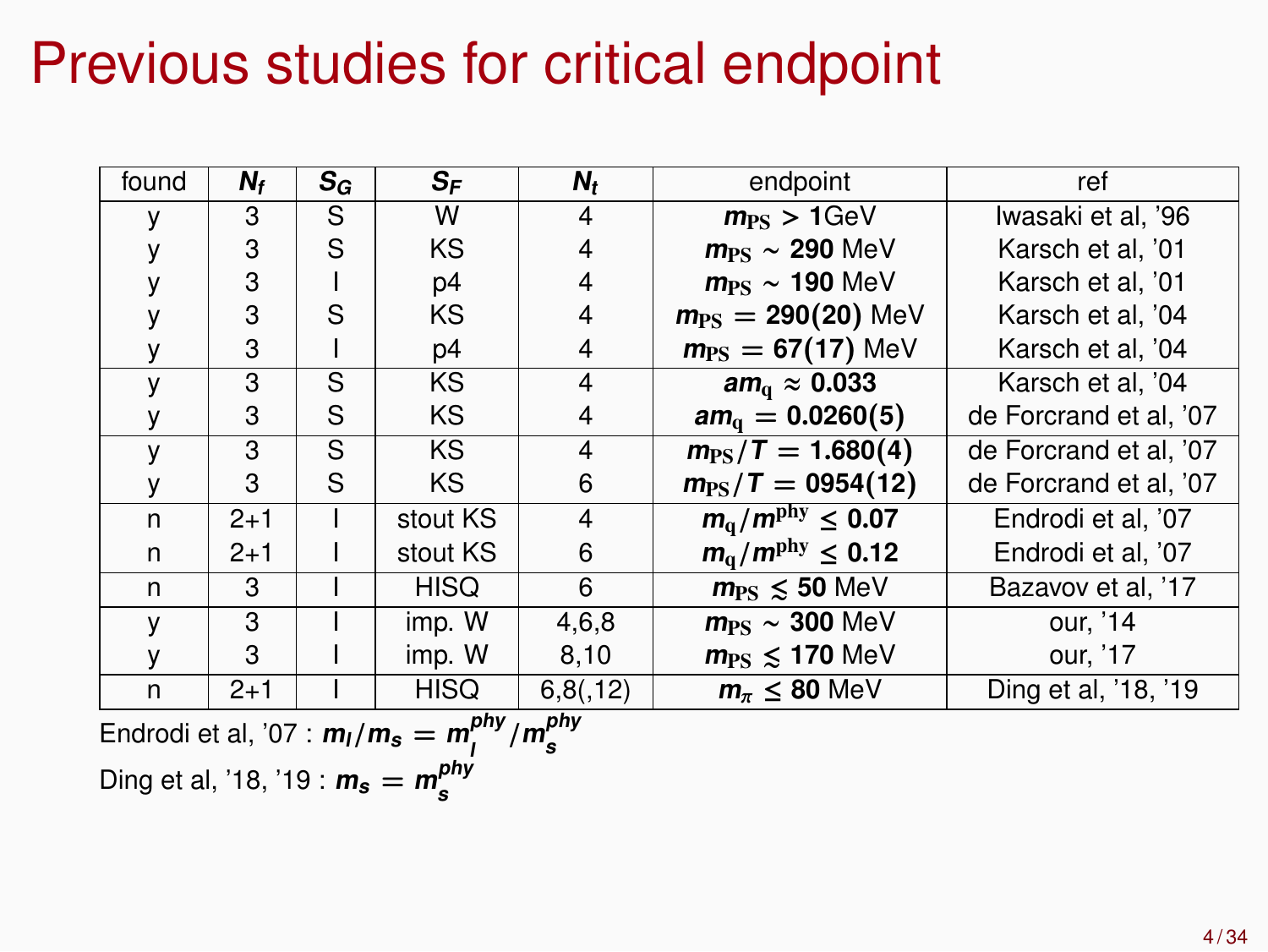# Previous studies for critical endpoint

| found        | N,      | $S_G$ | $S_F$       | N,             | endpoint                          | ref                    |  |
|--------------|---------|-------|-------------|----------------|-----------------------------------|------------------------|--|
|              | 3       | S     | w           | 4              | $m_{PS}$ > 1GeV                   | Iwasaki et al, '96     |  |
|              | 3       | S     | KS          | 4              | $m_{PS} \sim 290$ MeV             | Karsch et al, '01      |  |
|              | 3       |       | p4          | 4              | $m_{PS} \sim 190$ MeV             | Karsch et al. '01      |  |
|              | 3       | S     | KS          | 4              | $m_{PS} = 290(20)$ MeV            | Karsch et al. '04      |  |
|              | 3       |       | p4          | 4              | $m_{PS} = 67(17)$ MeV             | Karsch et al, '04      |  |
| $\mathsf{V}$ | 3       | S     | KS          | 4              | am <sub>a</sub> $\approx 0.033$   | Karsch et al, '04      |  |
|              | 3       | S     | KS          | 4              | $am_{0} = 0.0260(5)$              | de Forcrand et al, '07 |  |
| $\mathbf{v}$ | 3       | S     | <b>KS</b>   | $\overline{4}$ | $m_{PS}/T = 1.680(4)$             | de Forcrand et al, '07 |  |
|              | 3       | S     | <b>KS</b>   | 6              | $m_{PS}/T = 0954(12)$             | de Forcrand et al, '07 |  |
| n            | $2 + 1$ |       | stout KS    | $\overline{4}$ | $m_q/m^{\text{phy}} \leq 0.07$    | Endrodi et al. '07     |  |
| n            | $2 + 1$ |       | stout KS    | 6              | $m_{\rm g}/m^{\rm phy} \leq 0.12$ | Endrodi et al, '07     |  |
| n            | 3       |       | <b>HISQ</b> | 6              | $m_{\rm PS} \leq 50$ MeV          | Bazavov et al, '17     |  |
| $\mathsf{v}$ | 3       |       | imp. W      | 4.6.8          | $m_{PS} \sim 300$ MeV             | our. '14               |  |
|              | 3       |       | imp. W      | 8,10           | $m_{\rm PS} \leq 170$ MeV         | our, '17               |  |
| n            | $2 + 1$ |       | <b>HISQ</b> | 6,8(,12)       | $m_{\pi} \leq 80$ MeV             | Ding et al, '18, '19   |  |

Endrodi et al, '07 : 
$$
m_l/m_s = m_l^{phy}/m_s^{phy}
$$
  
 Ding et al, '18, '19 :  $m_s = m_s^{phy}$ 

**s**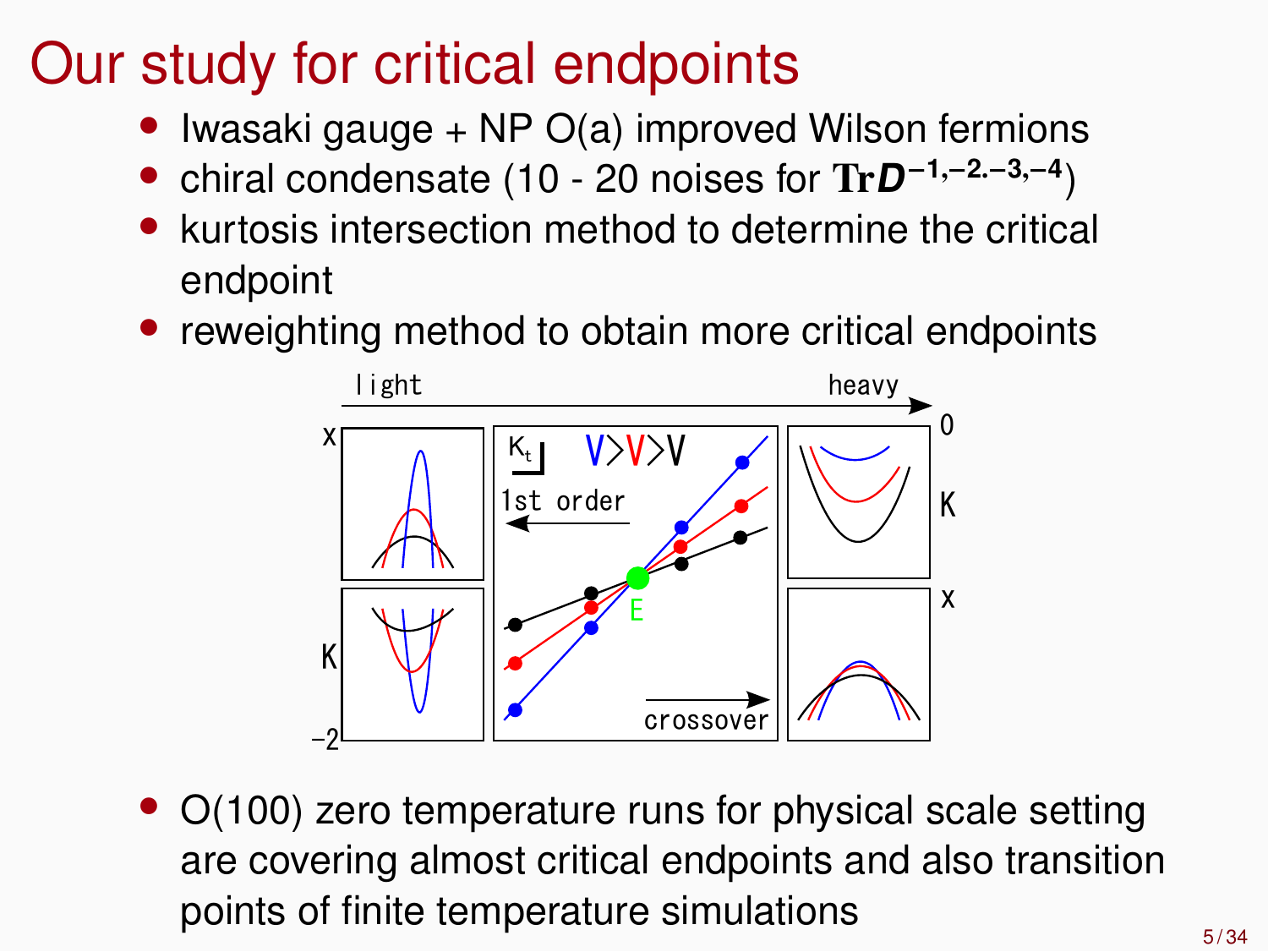# Our study for critical endpoints

- Iwasaki gauge + NP O(a) improved Wilson fermions
- chiral condensate (10 20 noises for Tr**<sup>D</sup>** −**1**,−**2**.−**3**,−**4** )
- kurtosis intersection method to determine the critical endpoint
- reweighting method to obtain more critical endpoints



• O(100) zero temperature runs for physical scale setting are covering almost critical endpoints and also transition points of finite temperature simulations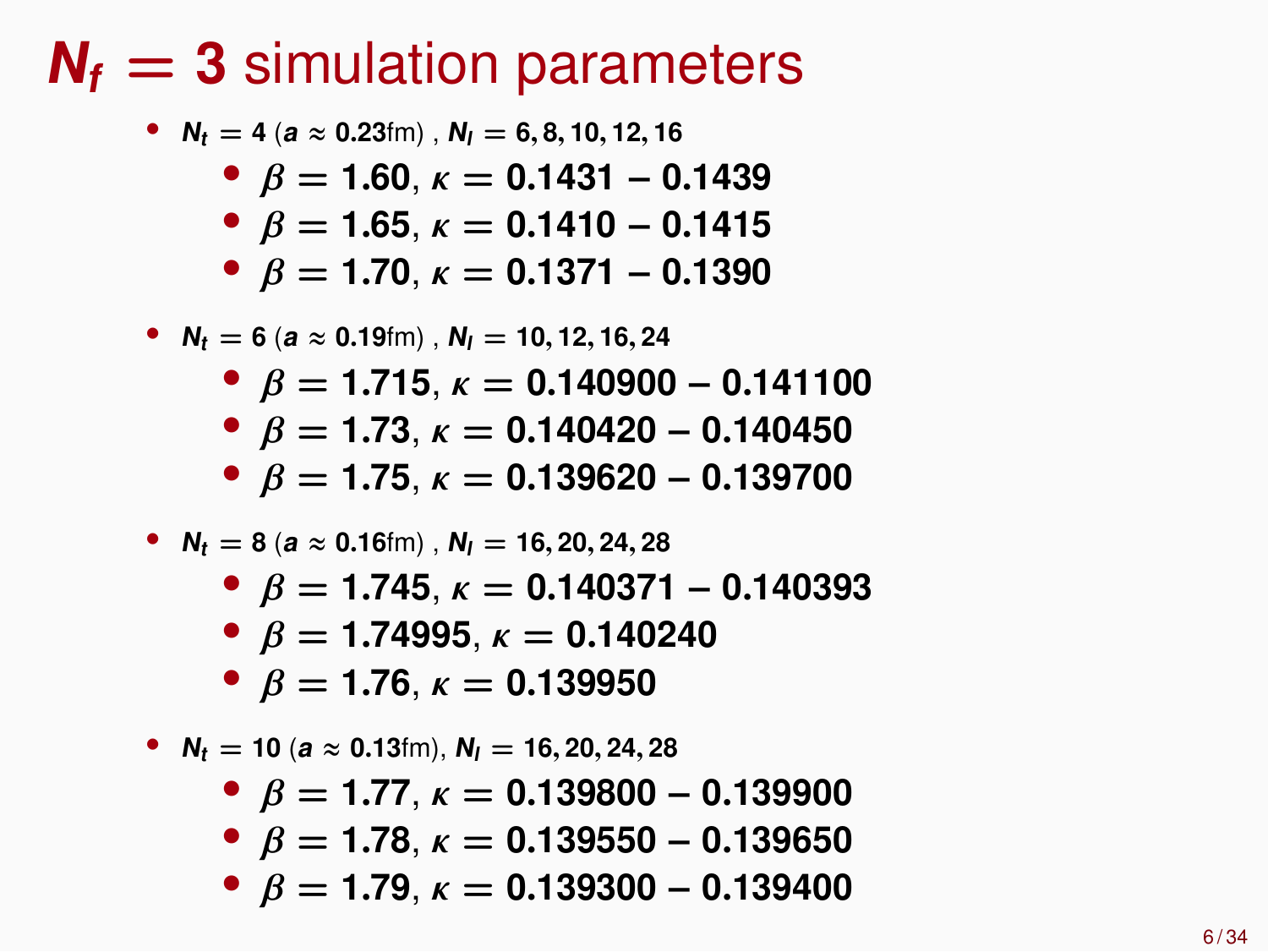#### $N_f = 3$  simulation parameters

\n- \n
$$
N_t = 4
$$
 (a  $\approx$  0.23fm),\n  $N_l = 6, 8, 10, 12, 16$ \n
\n- \n $\beta = 1.60, \, \kappa = 0.1431 - 0.1439$ \n
\n- \n $\beta = 1.65, \, \kappa = 0.1410 - 0.1415$ \n
\n- \n $\beta = 1.70, \, \kappa = 0.1371 - 0.1390$ \n
\n- \n $N_t = 6$  (a  $\approx$  0.19fm),\n  $N_l = 10, 12, 16, 24$ \n
\n- \n $\beta = 1.715, \, \kappa = 0.140900 - 0.141100$ \n
\n- \n $\beta = 1.73, \, \kappa = 0.140420 - 0.140450$ \n
\n- \n $\beta = 1.75, \, \kappa = 0.139620 - 0.139700$ \n
\n

• 
$$
N_t = 8
$$
 (a  $\approx 0.16$ fm),  $N_l = 16, 20, 24, 28$ 

- β **= 1**.**745**, κ **= 0**.**140371** − **0**.**140393**
- $\theta$  *β* = **1.74995**,  $\kappa$  = **0.140240**
- $\bullet$  *β* = **1.76**, *κ* = **0.139950**

•  $N_t = 10$  ( $a \approx 0.13$ fm),  $N_l = 16, 20, 24, 28$ 

- β **= 1**.**77**, κ **= 0**.**139800** − **0**.**139900**
- β **= 1**.**78**, κ **= 0**.**139550** − **0**.**139650**
- β **= 1**.**79**, κ **= 0**.**139300** − **0**.**139400**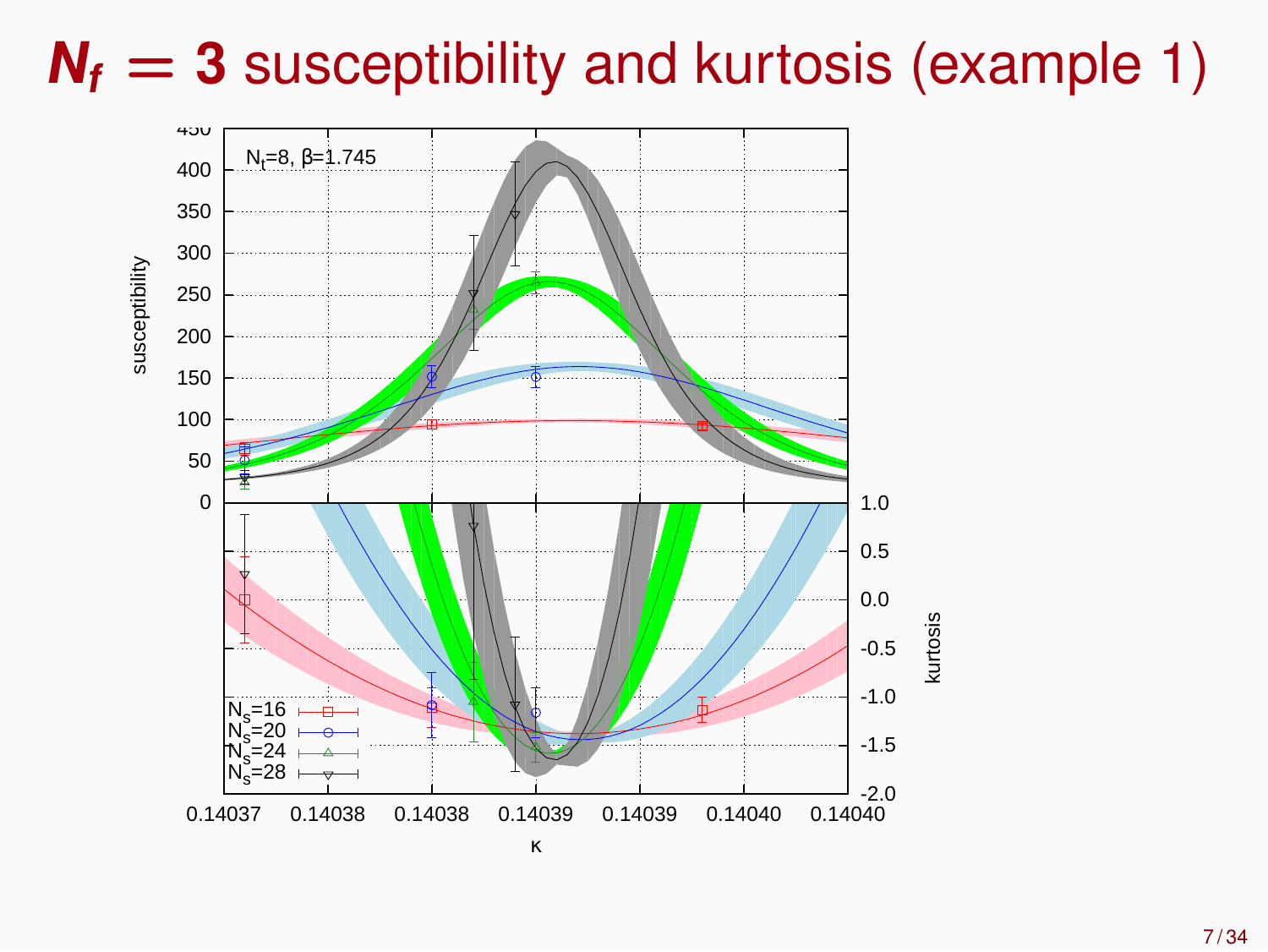# $N_f = 3$  susceptibility and kurtosis (example 1)

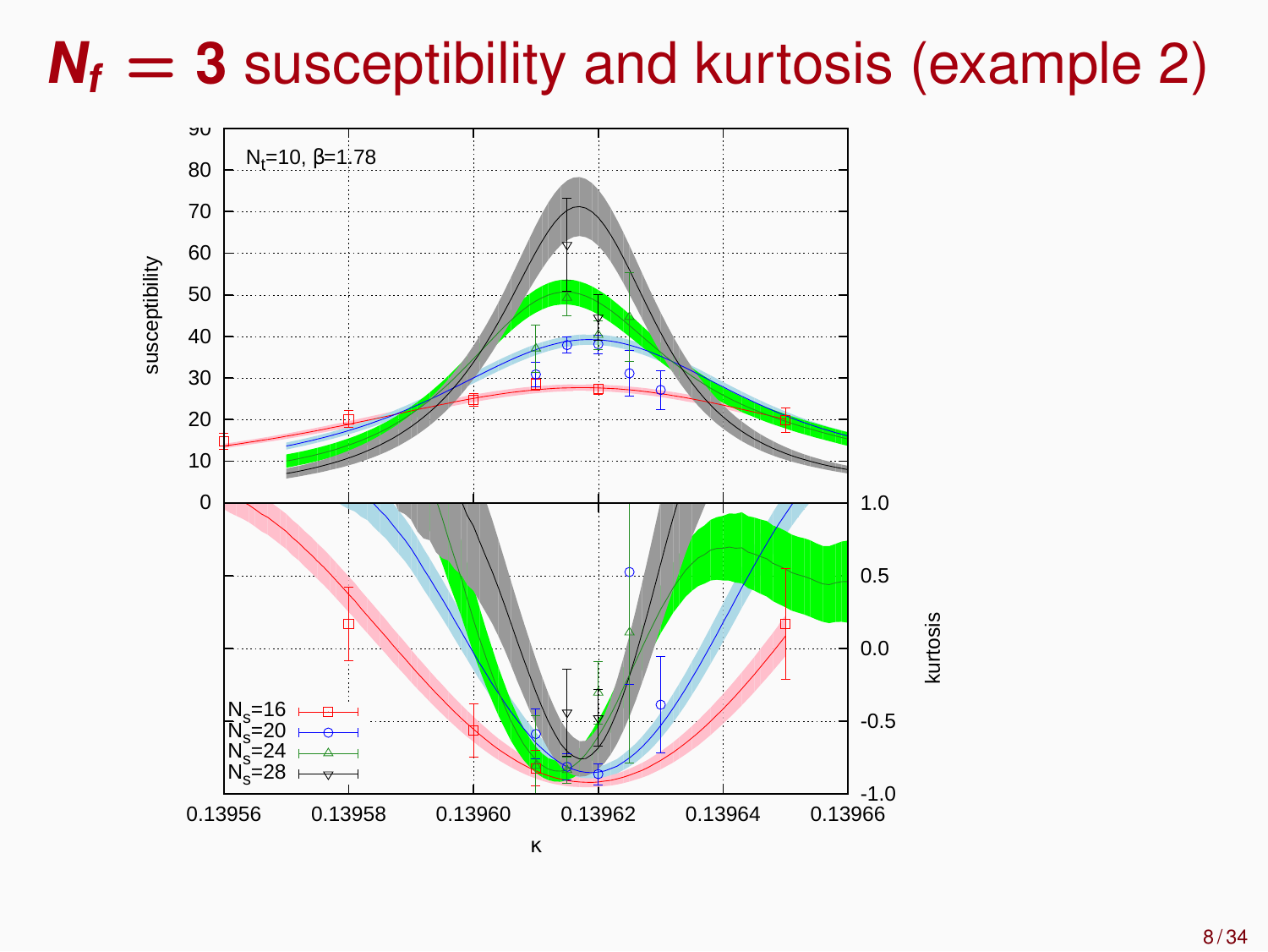# $N_f = 3$  susceptibility and kurtosis (example 2)

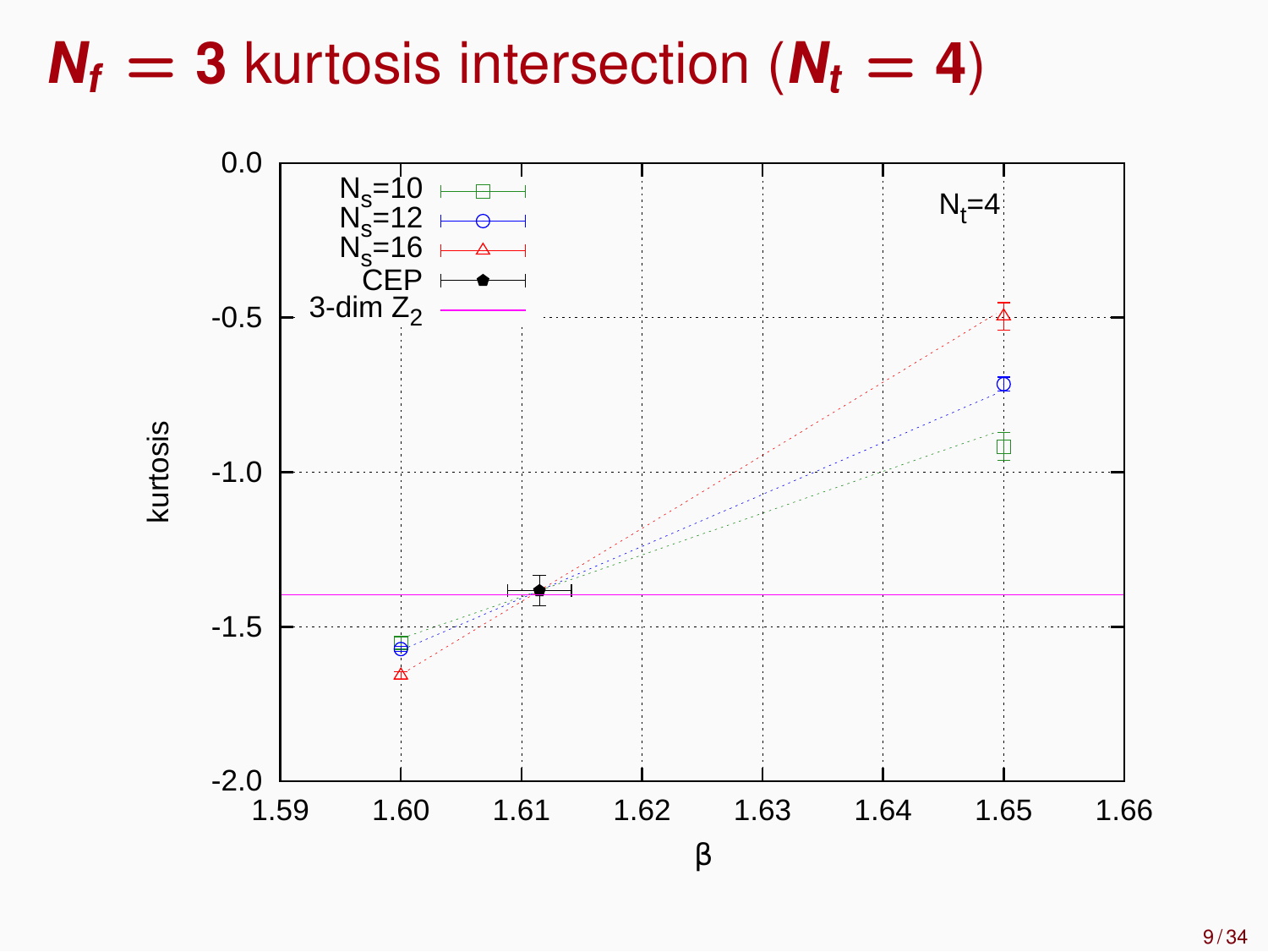## $N_f = 3$  kurtosis intersection ( $N_f = 4$ )

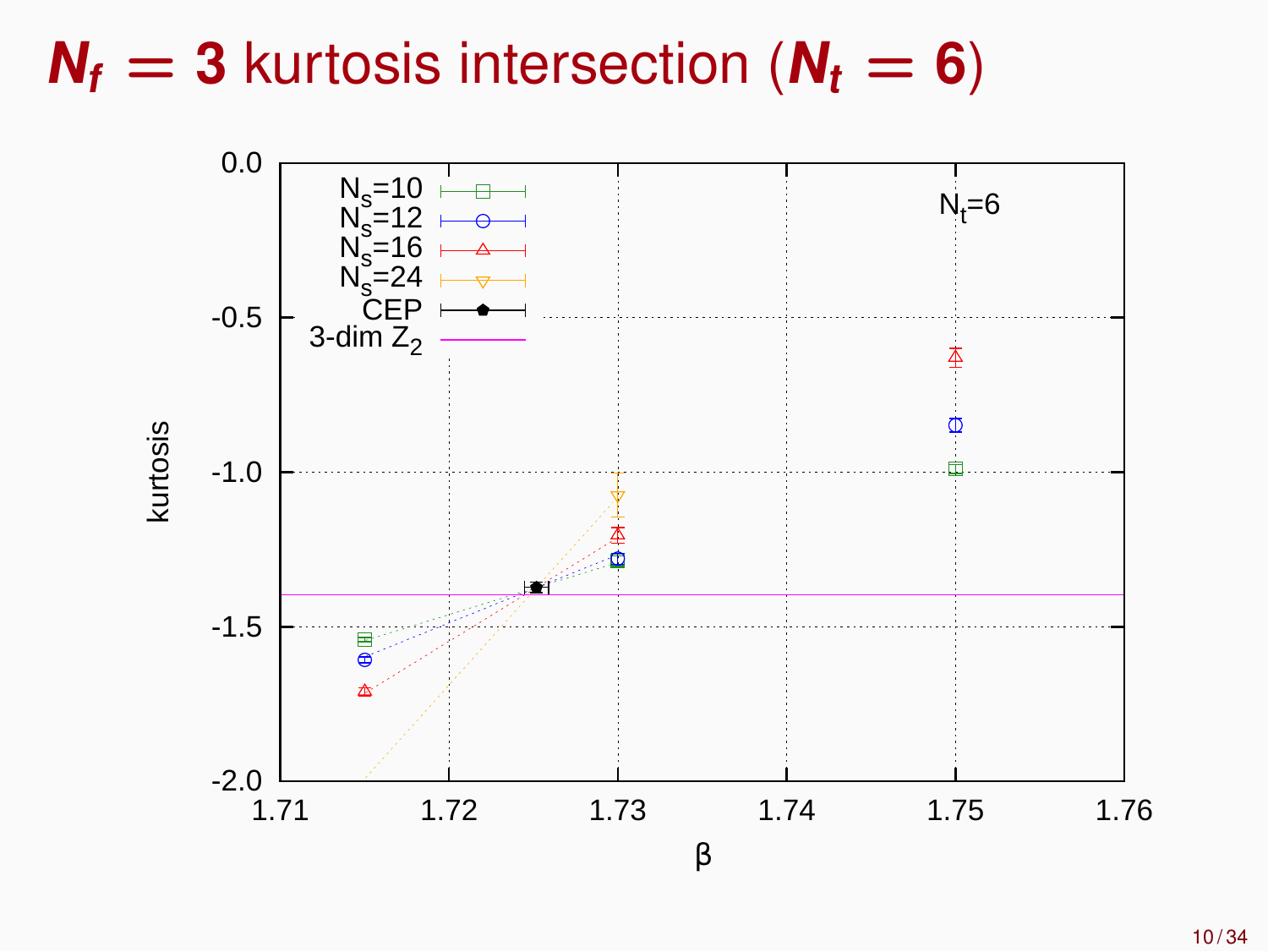# $N_f = 3$  kurtosis intersection ( $N_f = 6$ )

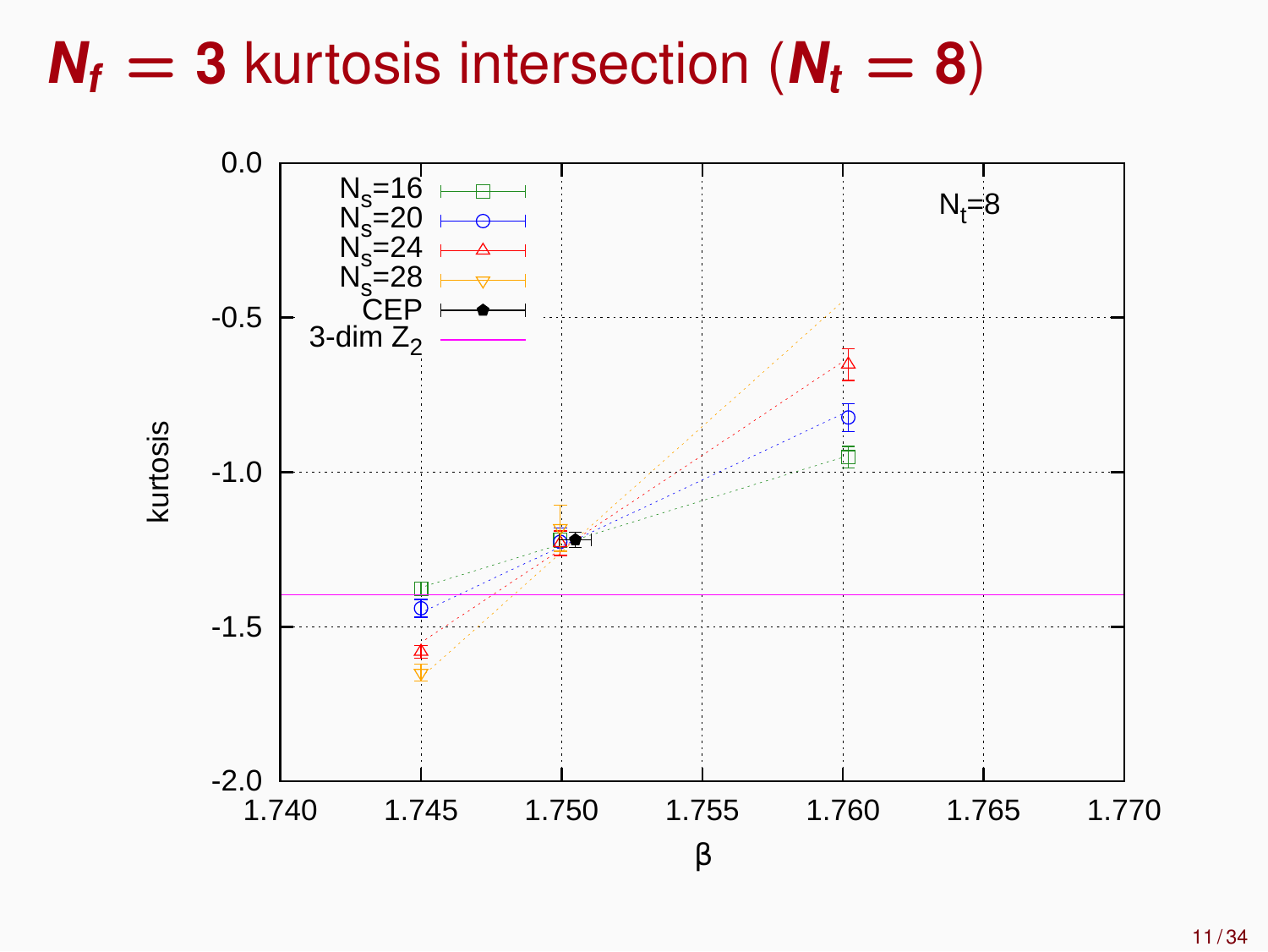# $N_f$  = **3** kurtosis intersection ( $N_t$  = **8**)

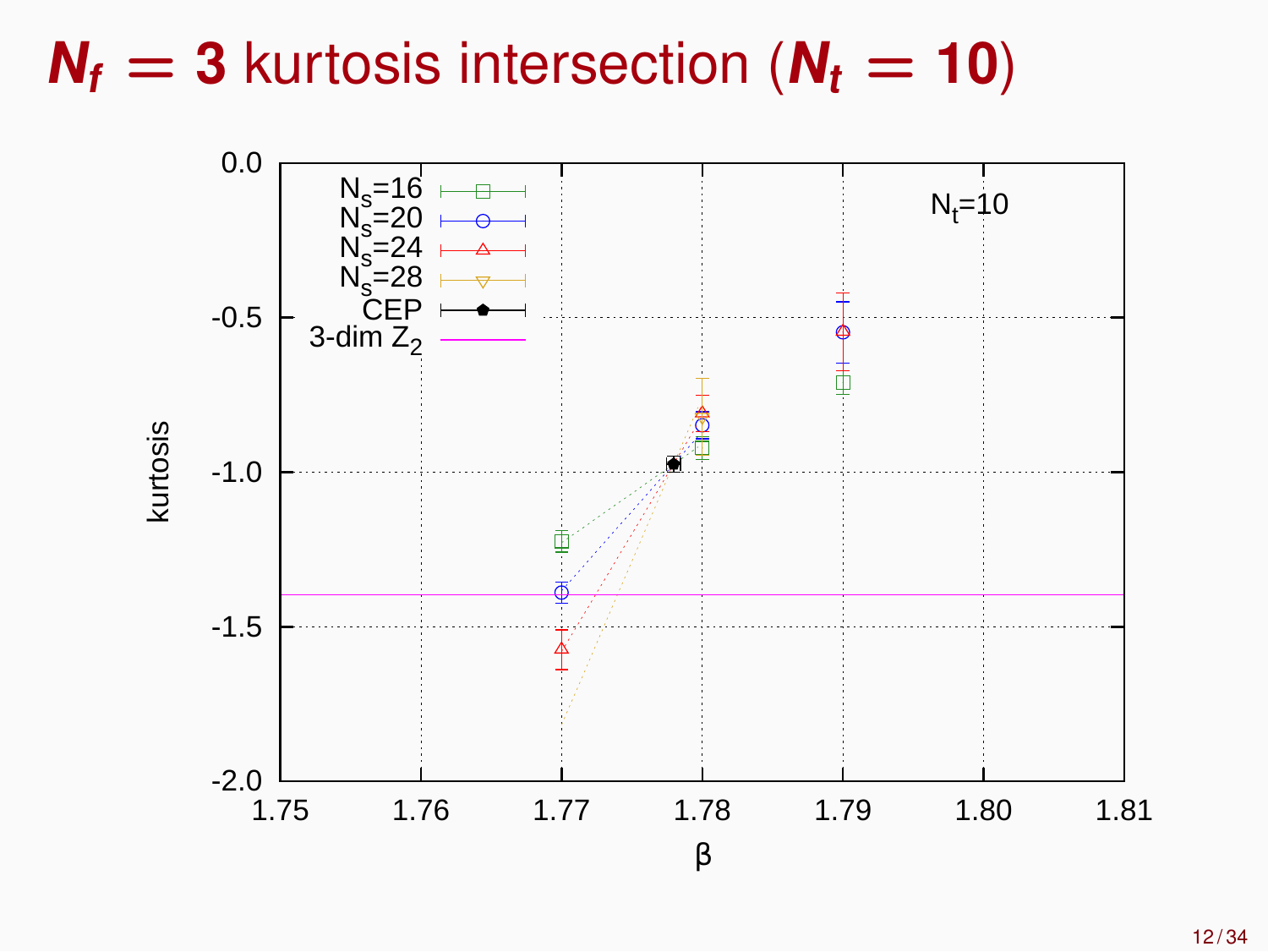# $N_f = 3$  kurtosis intersection ( $N_t = 10$ )

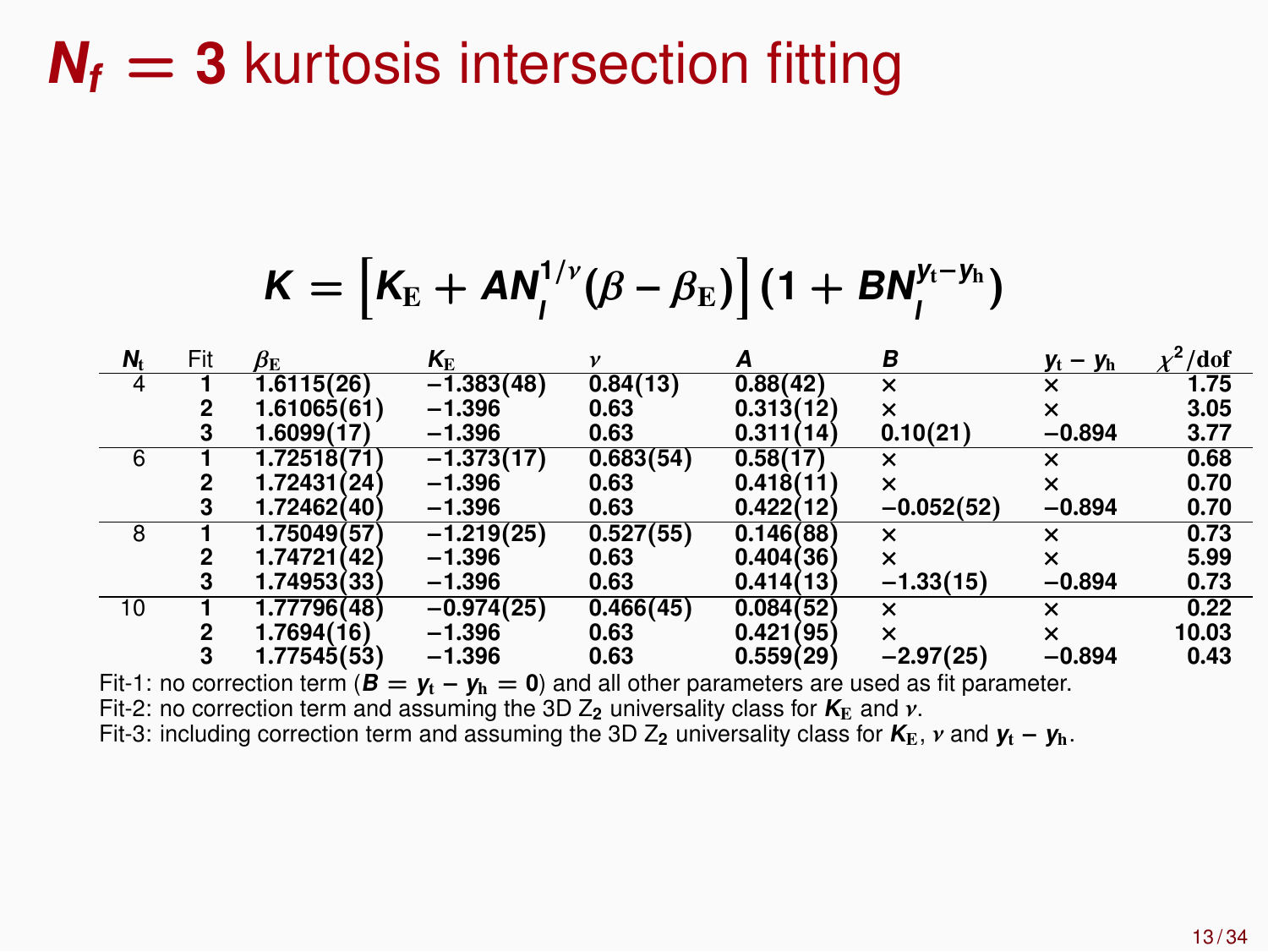## $N_f = 3$  kurtosis intersection fitting

$$
K = [K_{\rm E} + AN_{\rm I}^{1/\nu}(\beta - \beta_{\rm E})] (1 + BN_{\rm I}^{\nu_{\rm I} - \nu_{\rm h}})
$$

| N <sub>t</sub>                                                                                        | Fit | $\beta_{\rm E}$ | $K_{\rm E}$  | v         |           | в                         | $y_t - y_h$               | /dof  |
|-------------------------------------------------------------------------------------------------------|-----|-----------------|--------------|-----------|-----------|---------------------------|---------------------------|-------|
|                                                                                                       |     | 1.6115(26)      | $-1.383(48)$ | 0.84(13)  | 0.88(42)  | $\times$                  | ×                         | 1.75  |
|                                                                                                       |     | 1.61065(61)     | $-1.396$     | 0.63      | 0.313(12) | $\boldsymbol{\mathsf{x}}$ | ×                         | 3.05  |
|                                                                                                       | 3   | 1.6099(17)      | $-1.396$     | 0.63      | 0.311(14) | 0.10(21)                  | $-0.894$                  | 3.77  |
| 6                                                                                                     |     | 1.72518(71      | $-1.373(17)$ | 0.683(54) | 0.58(17)  | $\boldsymbol{\mathsf{x}}$ | ×                         | 0.68  |
|                                                                                                       | 2   | 1.72431(24)     | $-1.396$     | 0.63      | 0.418(11) | ×                         | ×                         | 0.70  |
|                                                                                                       | 3   | 1.72462(40)     | $-1.396$     | 0.63      | 0.422(12) | $-0.052(52)$              | $-0.894$                  | 0.70  |
| 8                                                                                                     |     | 1.75049(57)     | $-1.219(25)$ | 0.527(55) | 0.146(88) | $\times$                  | ×                         | 0.73  |
|                                                                                                       |     | 1.74721(42)     | $-1.396$     | 0.63      | 0.404(36) | $\boldsymbol{\mathsf{x}}$ | $\boldsymbol{\mathsf{x}}$ | 5.99  |
|                                                                                                       | 3   | 1.74953(33)     | $-1.396$     | 0.63      | 0.414(13) | $-1.33(15)$               | $-0.894$                  | 0.73  |
| 10                                                                                                    |     | 1.77796(48)     | $-0.974(25)$ | 0.466(45) | 0.084(52) | $\boldsymbol{\mathsf{x}}$ | $\boldsymbol{\mathsf{x}}$ | 0.22  |
|                                                                                                       |     | 1.7694(16)      | $-1.396$     | 0.63      | 0.421(95) | $\boldsymbol{\mathsf{x}}$ | ×                         | 10.03 |
|                                                                                                       | з   | 1.77545(53)     | $-1.396$     | 0.63      | 0.559(29) | $-2.97(25)$               | $-0.894$                  | 0.43  |
| Fit-1: no correction term ( $B = y_t - y_h = 0$ ) and all other parameters are used as fit parameter. |     |                 |              |           |           |                           |                           |       |
| Fit-2: no correction term and assuming the 3D $Z_2$ universality class for $K_E$ and $\nu$ .          |     |                 |              |           |           |                           |                           |       |

Fit-3: including correction term and assuming the 3D  $Z_2$  universality class for  $K_E$ , v and  $y_t - y_h$ .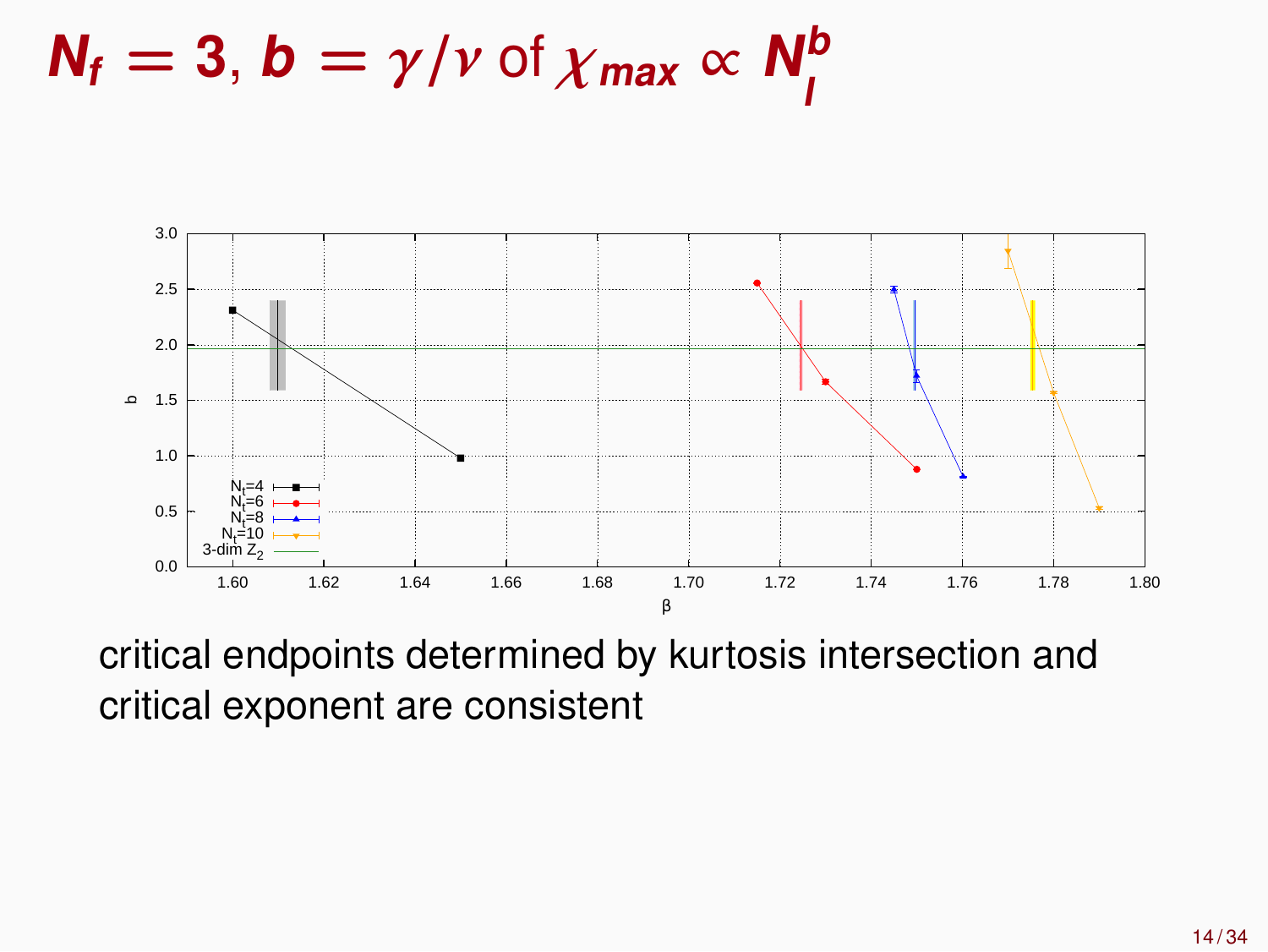$N_f = 3$ ,  $b = \gamma / \nu$  of  $\chi_{max} \propto N_f^b$ **l**



critical endpoints determined by kurtosis intersection and critical exponent are consistent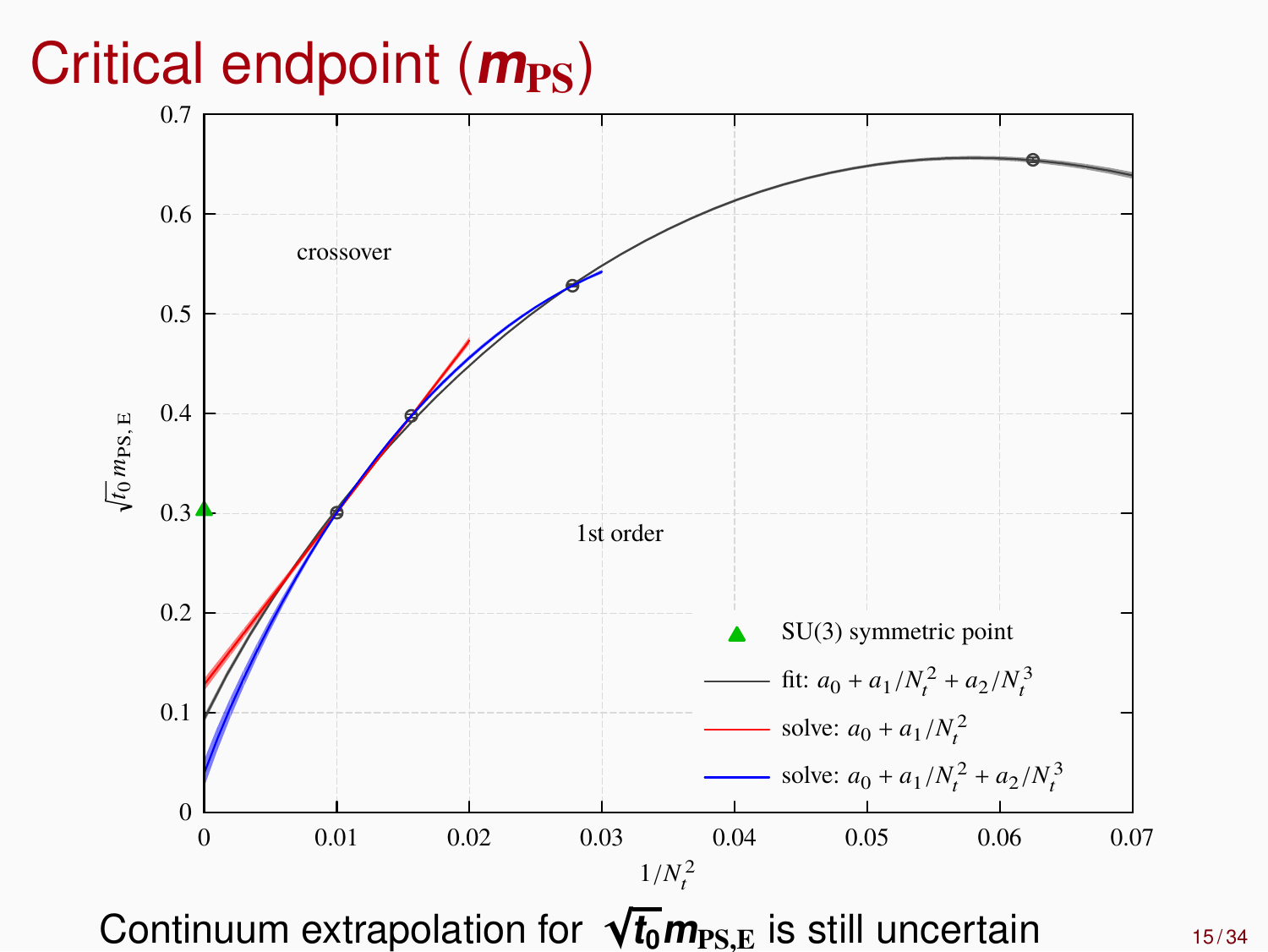# Critical endpoint ( $m_{\text{PS}}$ )

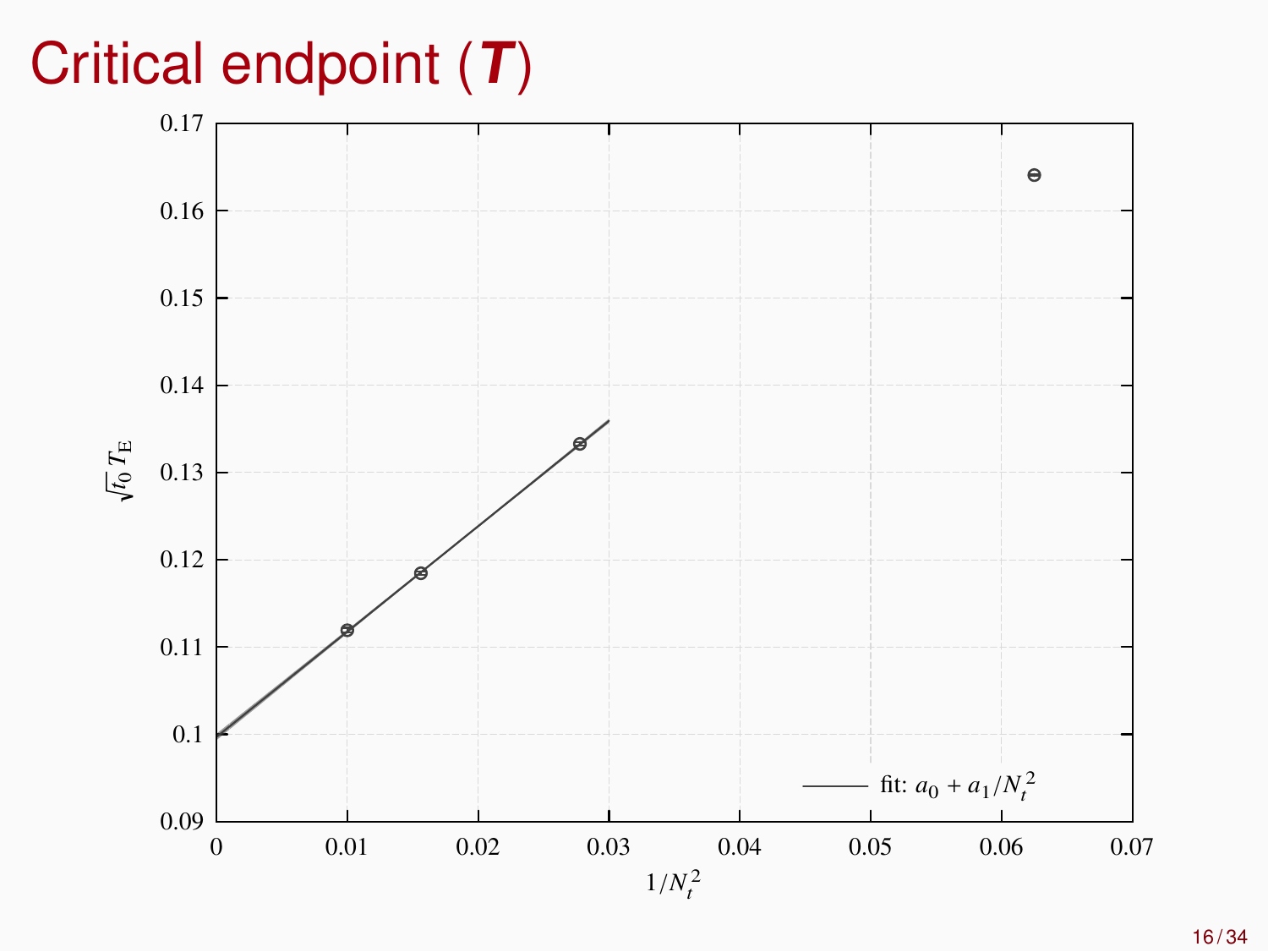# Critical endpoint (**T**)

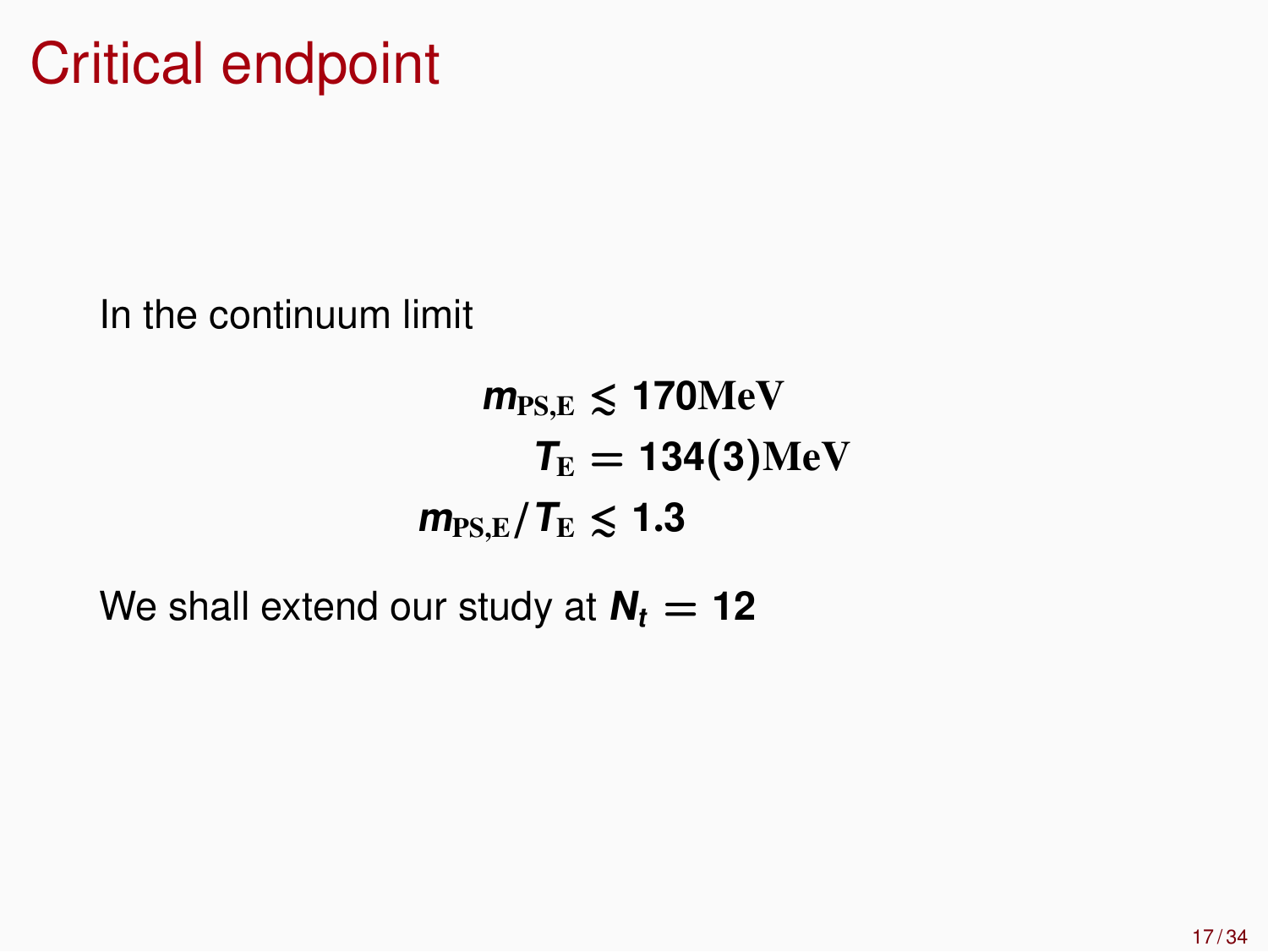In the continuum limit

 $m_{\rm PS,E} \leq 170$ MeV  $T_{\rm E} = 134(3)$ MeV  $m_{\rm PSE}/T_{\rm E} \lesssim 1.3$ 

We shall extend our study at  $N_t = 12$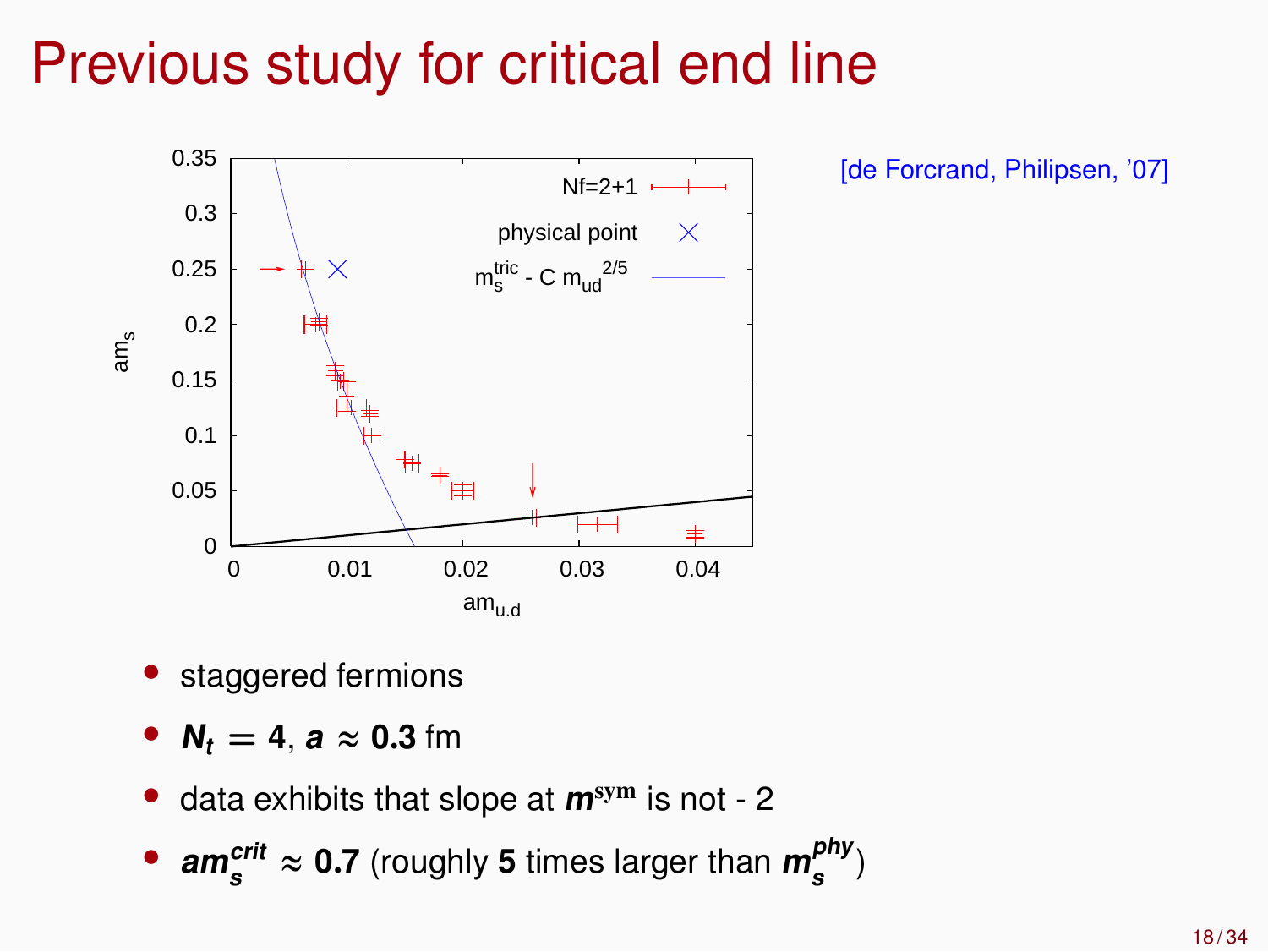# Previous study for critical end line



[de Forcrand, Philipsen, '07]

- staggered fermions
- $N_t = 4$ ,  $a \approx 0.3$  fm
- data exhibits that slope at **<sup>m</sup>**sym is not 2
- **am**<sup>crit</sup><sub>s</sub>  $\approx$  0.7 (roughly 5 times larger than  $m_s^{phy}$ )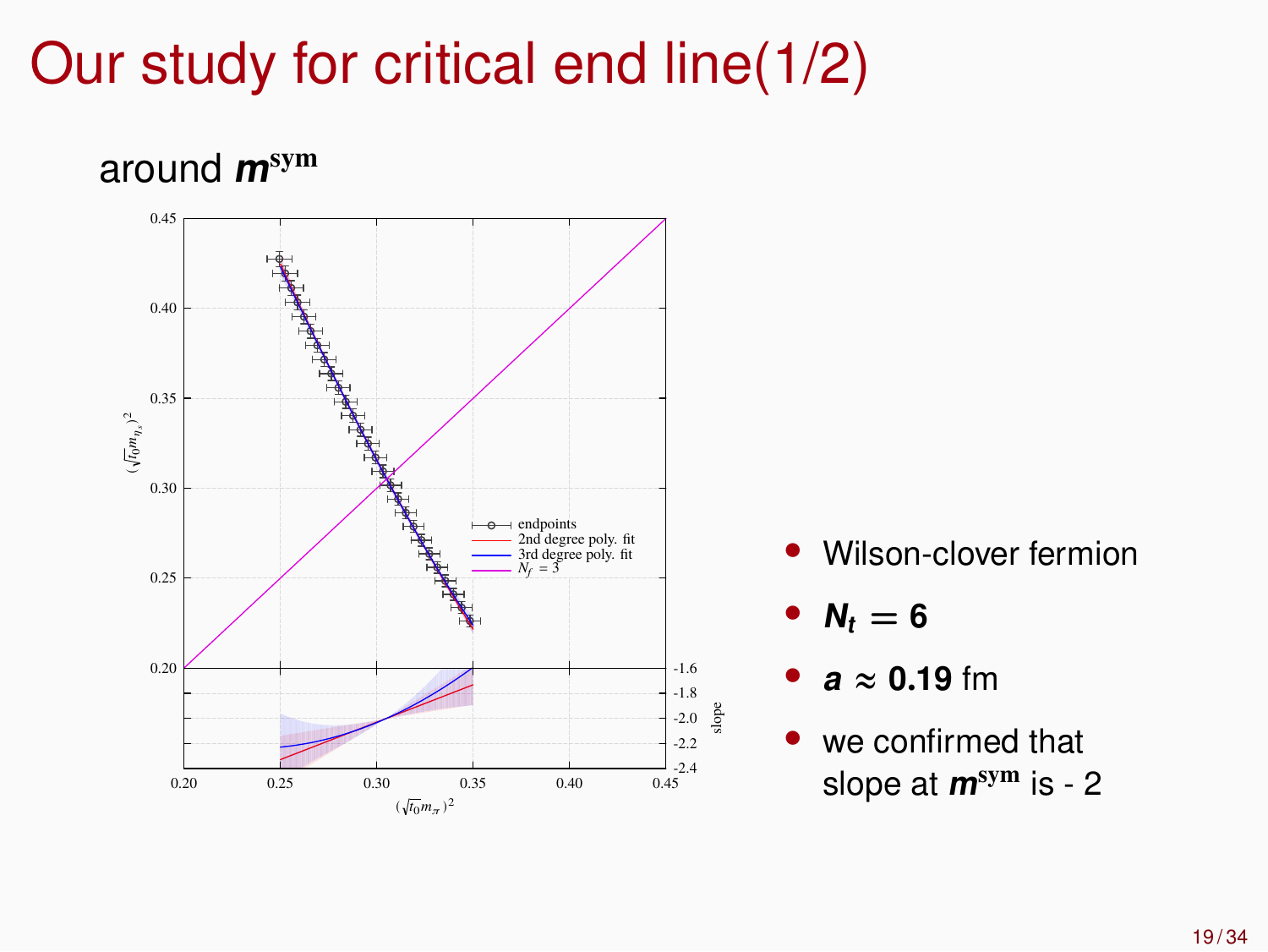# Our study for critical end line(1/2)

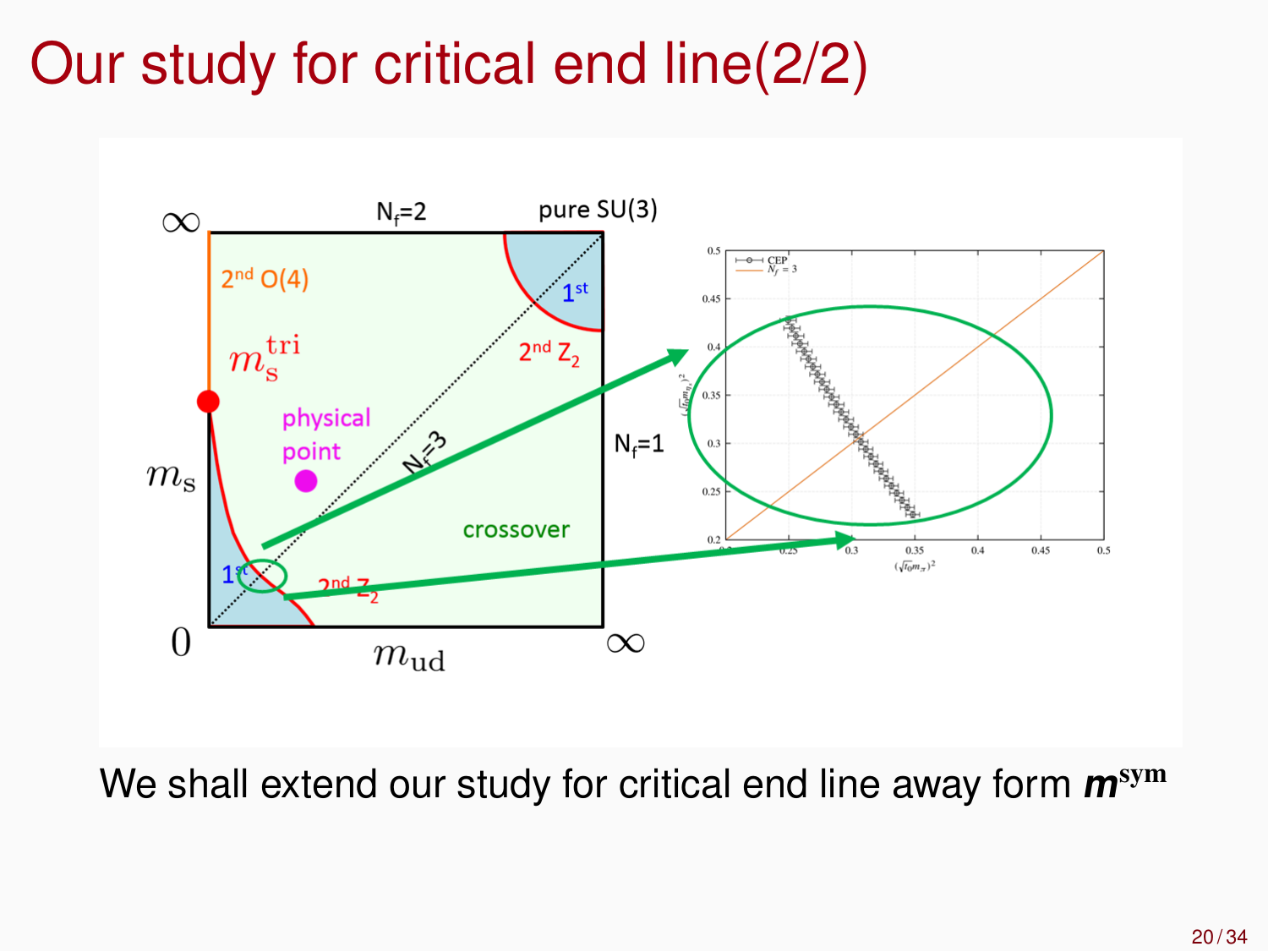# Our study for critical end line(2/2)



We shall extend our study for critical end line away form **<sup>m</sup>**sym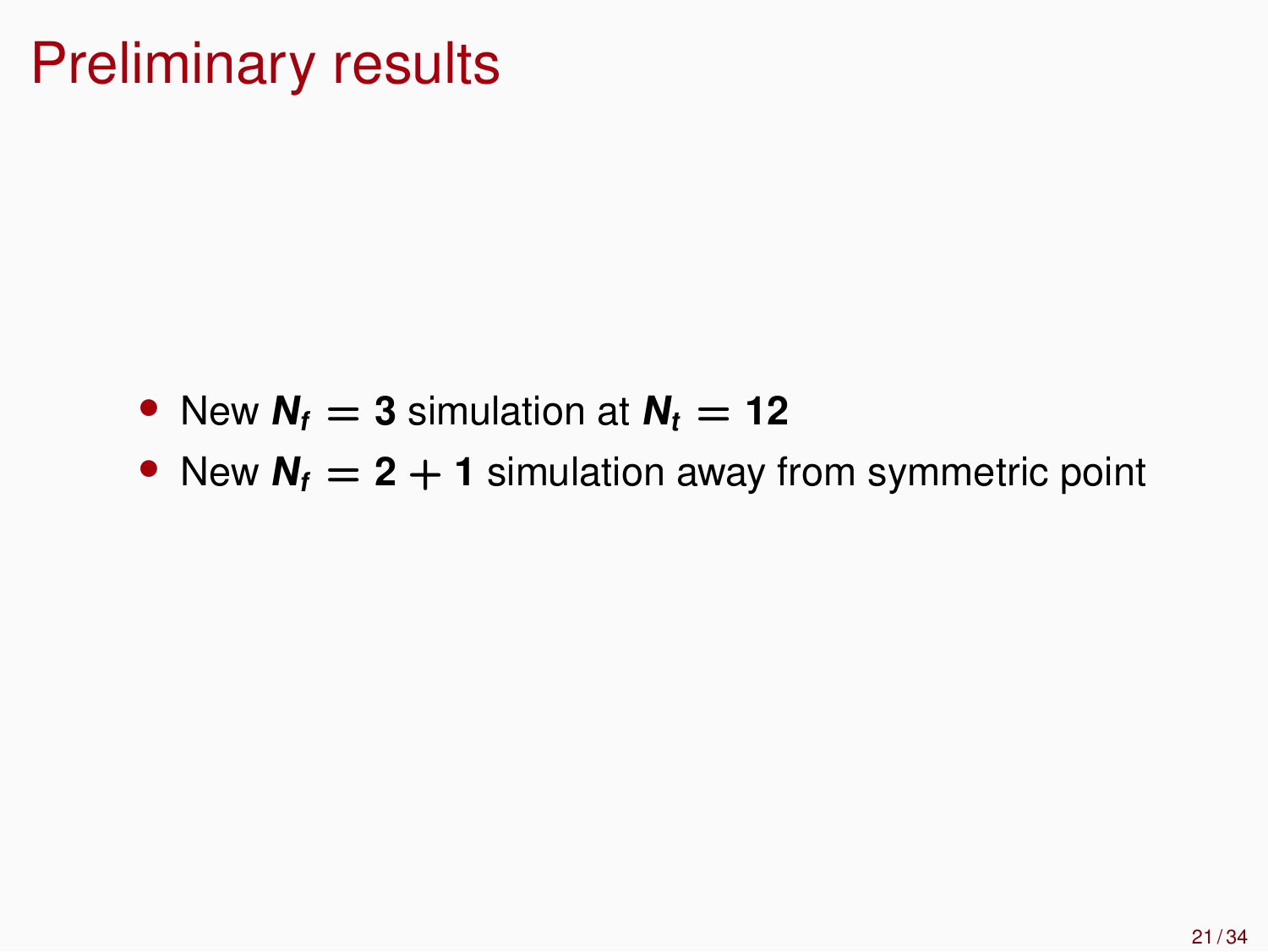# Preliminary results

- New  $N_f = 3$  simulation at  $N_f = 12$
- New  $N_f = 2 + 1$  simulation away from symmetric point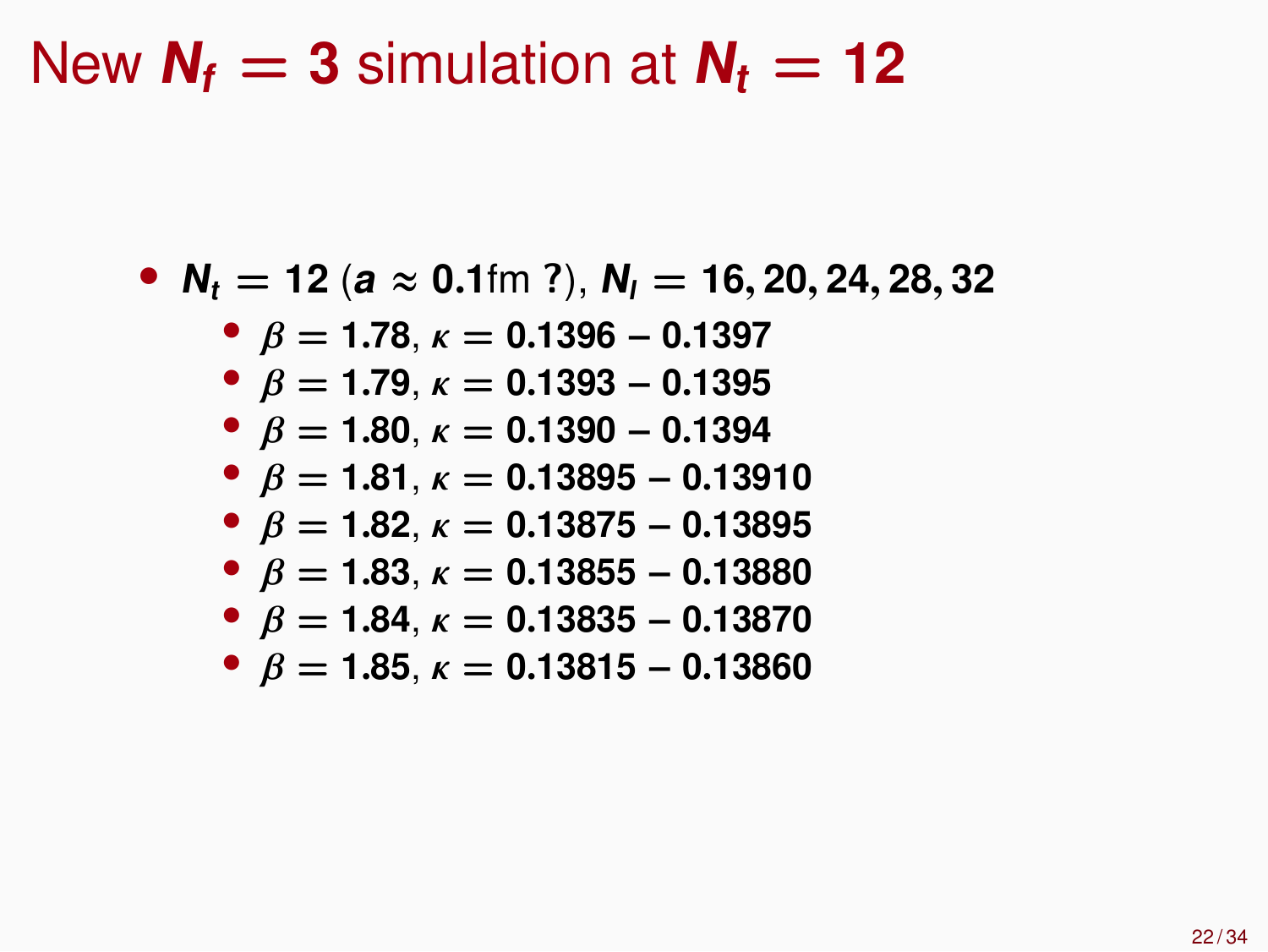#### New  $N_f = 3$  simulation at  $N_f = 12$

• **<sup>N</sup><sup>t</sup> = 12** (**<sup>a</sup>** ≈ **0**.**1**fm **?**), **<sup>N</sup><sup>l</sup> = 16**, **20**, **24**, **28**, **32**

• 
$$
\beta = 1.78
$$
,  $\kappa = 0.1396 - 0.1397$ 

- β **= 1**.**79**, κ **= 0**.**1393** − **0**.**1395**
- β **= 1**.**80**, κ **= 0**.**1390** − **0**.**1394**
- β **= 1**.**81**, κ **= 0**.**13895** − **0**.**13910**
- $\theta$  *β* = **1.82**, *κ* = **0.13875** − **0.13895**
- $\theta$  *β* = **1.83**, *κ* = **0.13855** − **0.13880**
- β **= 1**.**84**, κ **= 0**.**13835** − **0**.**13870**
- $\bullet$   $\beta$  = **1.85**,  $\kappa$  = **0.13815 0.13860**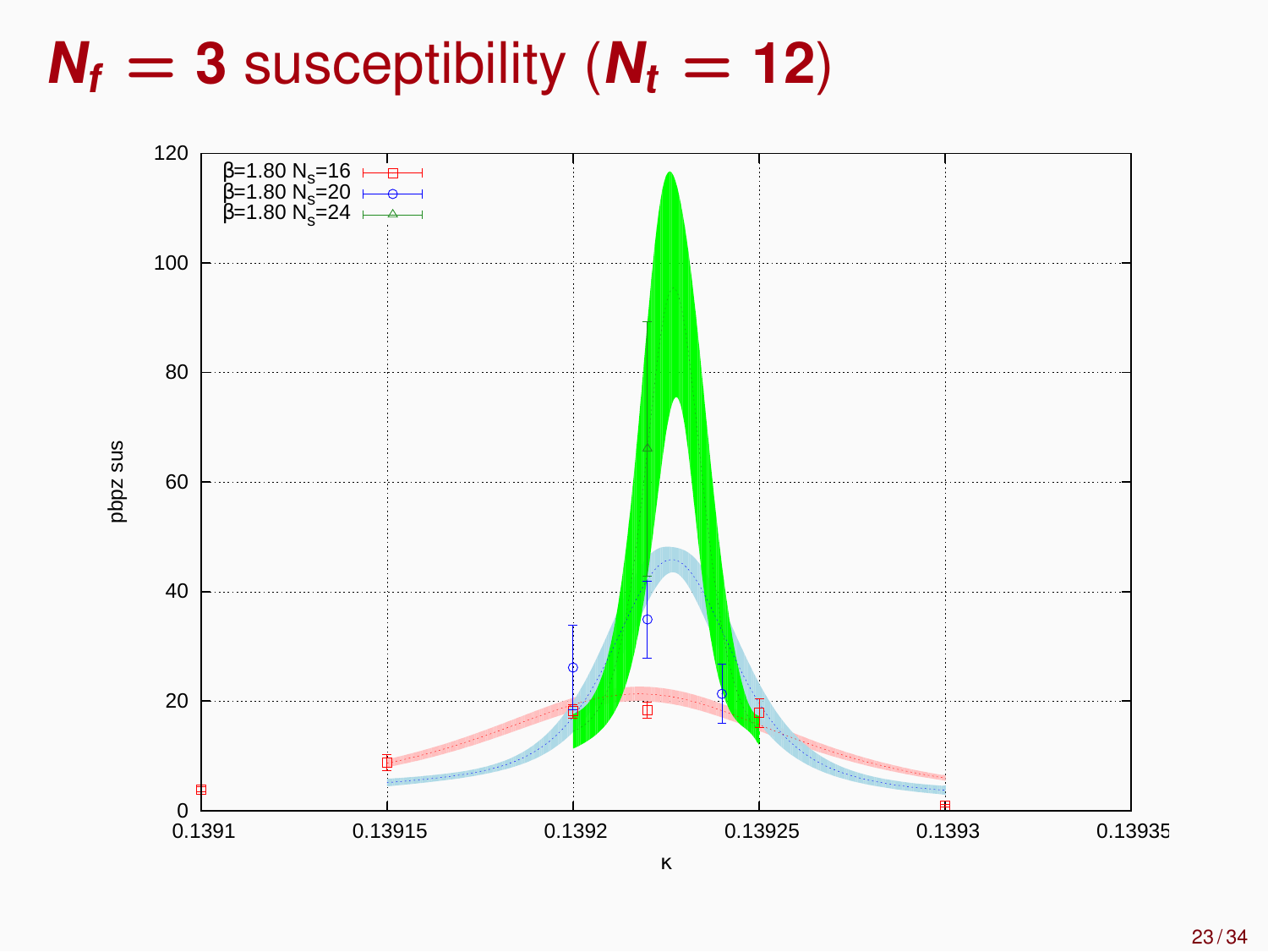$N_f = 3$  susceptibility ( $N_t = 12$ )

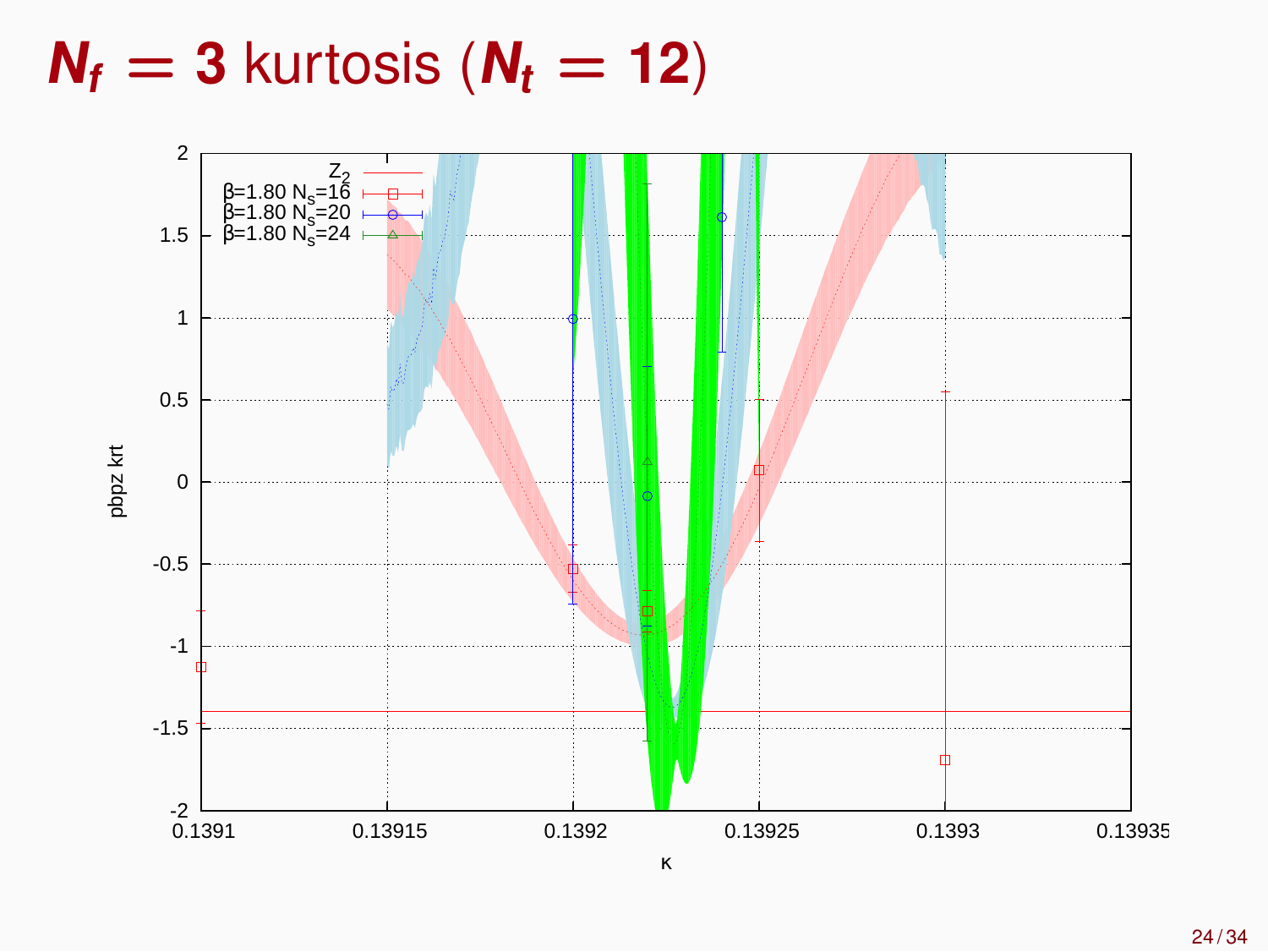$N_f = 3$  kurtosis ( $N_f = 12$ )

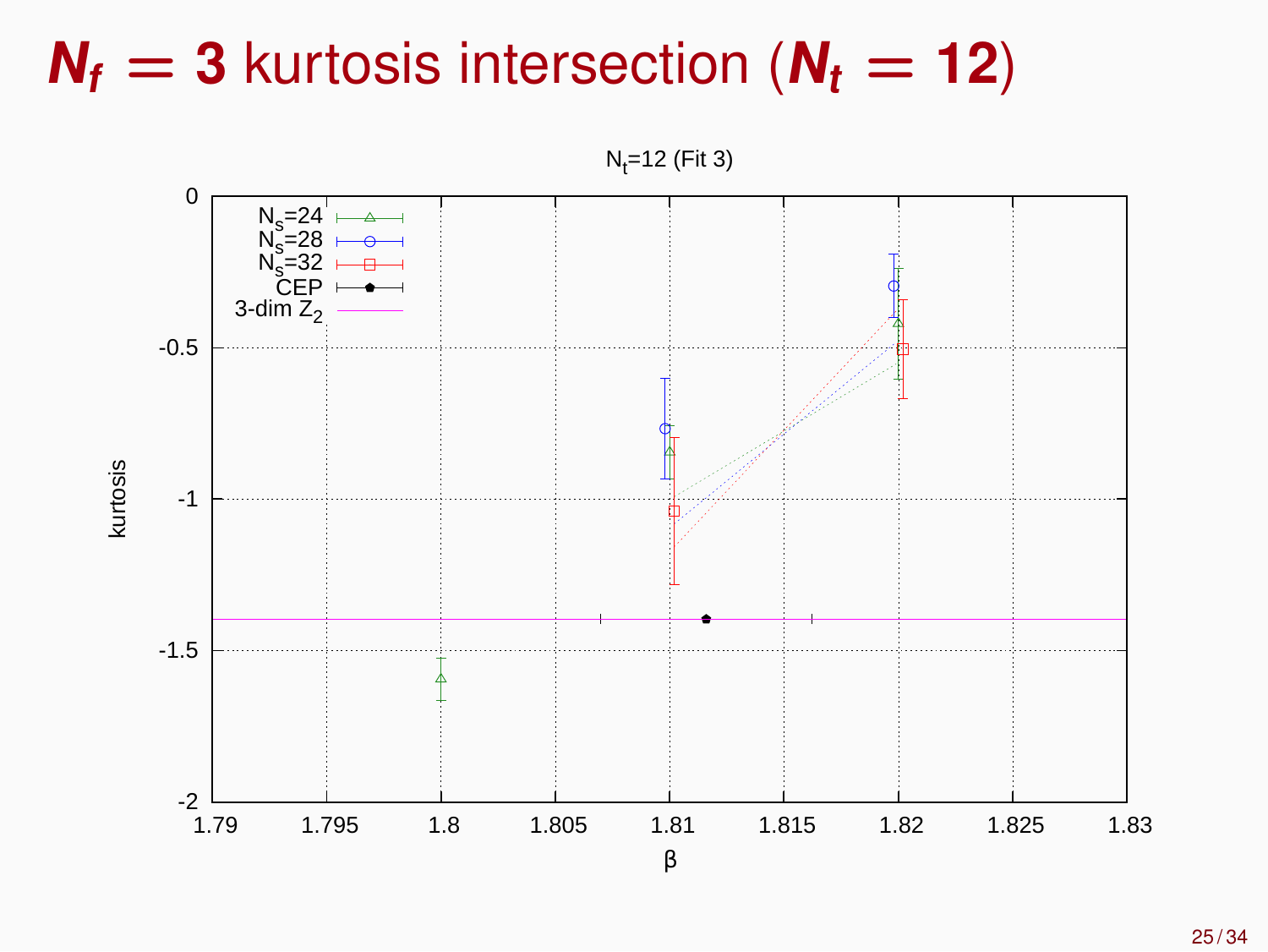## $N_f$  = **3** kurtosis intersection ( $N_f$  = **12**)

 $N_t = 12$  (Fit 3)

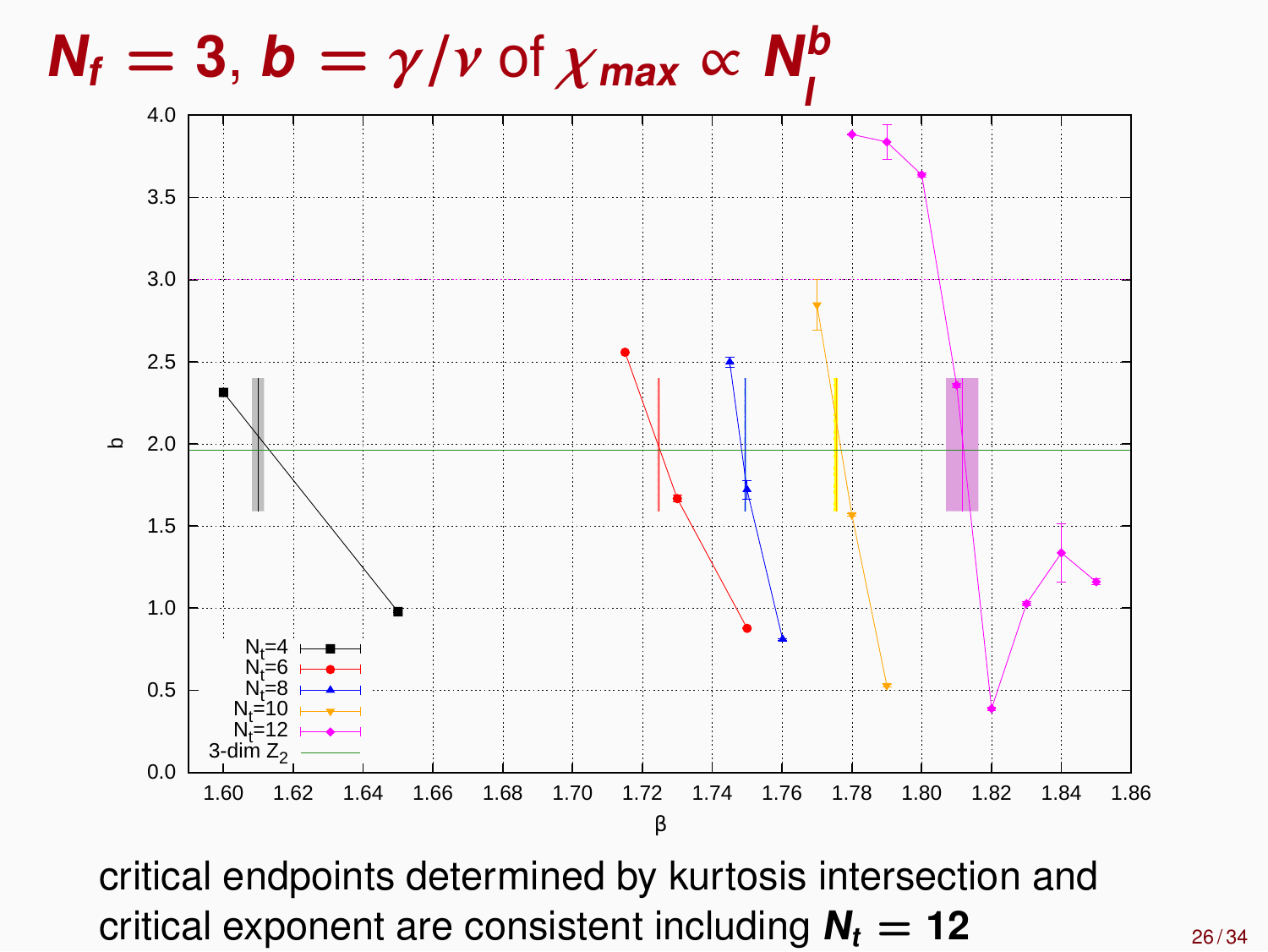#### $N_f = 3$ ,  $b = \gamma / \nu$  of  $\chi_{\textit{max}} \propto N_f^b$ **l**



critical endpoints determined by kurtosis intersection and critical exponent are consistent including  $N_t = 12$  26/34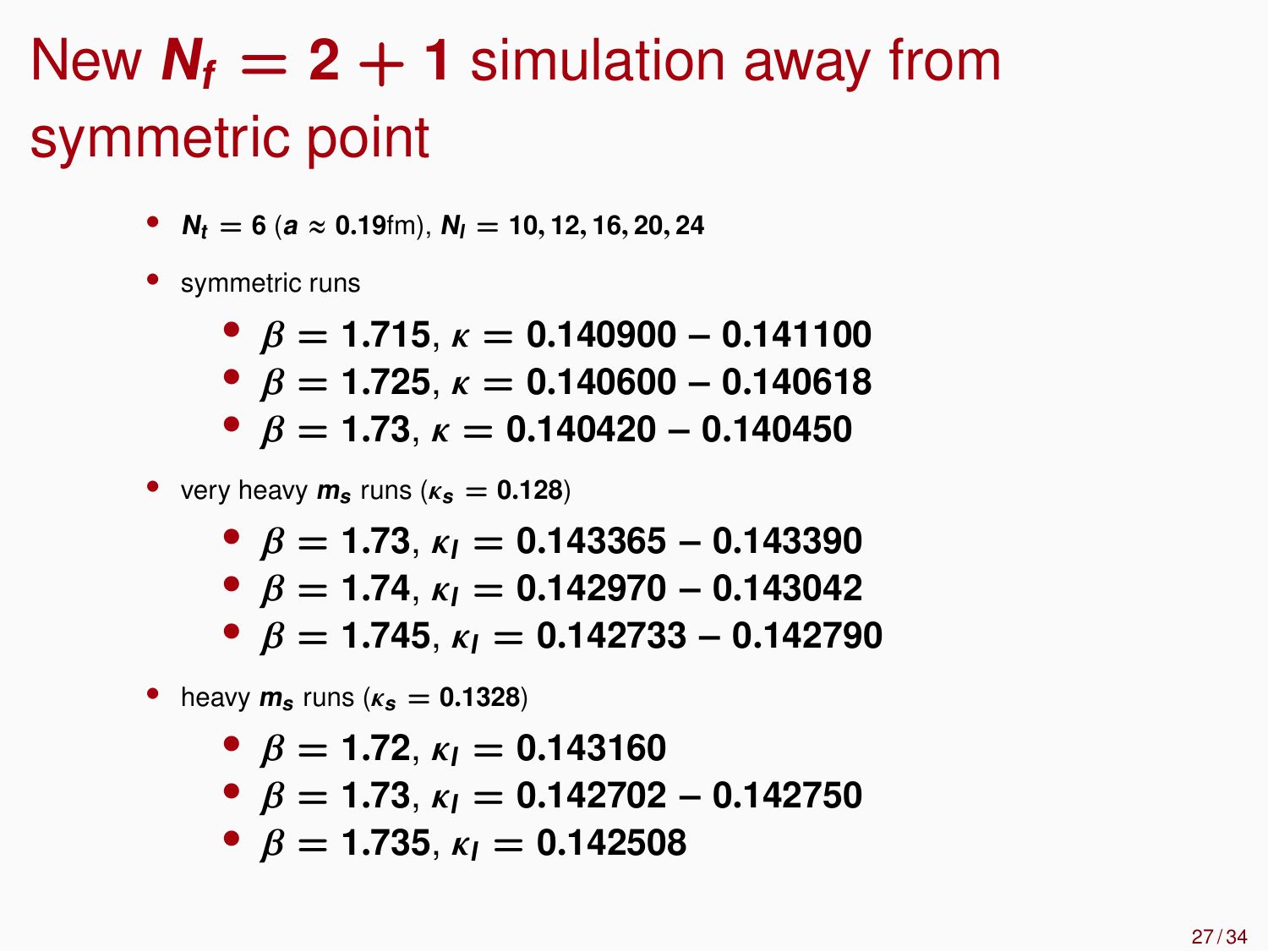# New  $N_f = 2 + 1$  simulation away from symmetric point

- $N_t = 6$  ( $a \approx 0.19$ fm),  $N_l = 10, 12, 16, 20, 24$
- symmetric runs
	- β **= 1**.**715**, κ **= 0**.**140900** − **0**.**141100**
	- β **= 1**.**725**, κ **= 0**.**140600** − **0**.**140618**
	- β **= 1**.**73**, κ **= 0**.**140420** − **0**.**140450**
- very heavy  $m_s$  runs ( $\kappa_s = 0.128$ )
	- $\bullet$  *B* = 1.73,  $\kappa_l$  = 0.143365 0.143390
	- $\bullet$  *β* = 1.74,  $\kappa_l$  = 0.142970 0.143042
	- β **= 1**.**745**, κ**<sup>l</sup> = 0**.**142733** − **0**.**142790**
- heavy  $m_s$  runs ( $\kappa_s = 0.1328$ )

• 
$$
\beta = 1.72
$$
,  $\kappa_l = 0.143160$ 

- $\bullet$  *B* = 1.73,  $\kappa_l$  = 0.142702 0.142750
- $\theta$  *B* = 1.735,  $\kappa_l$  = 0.142508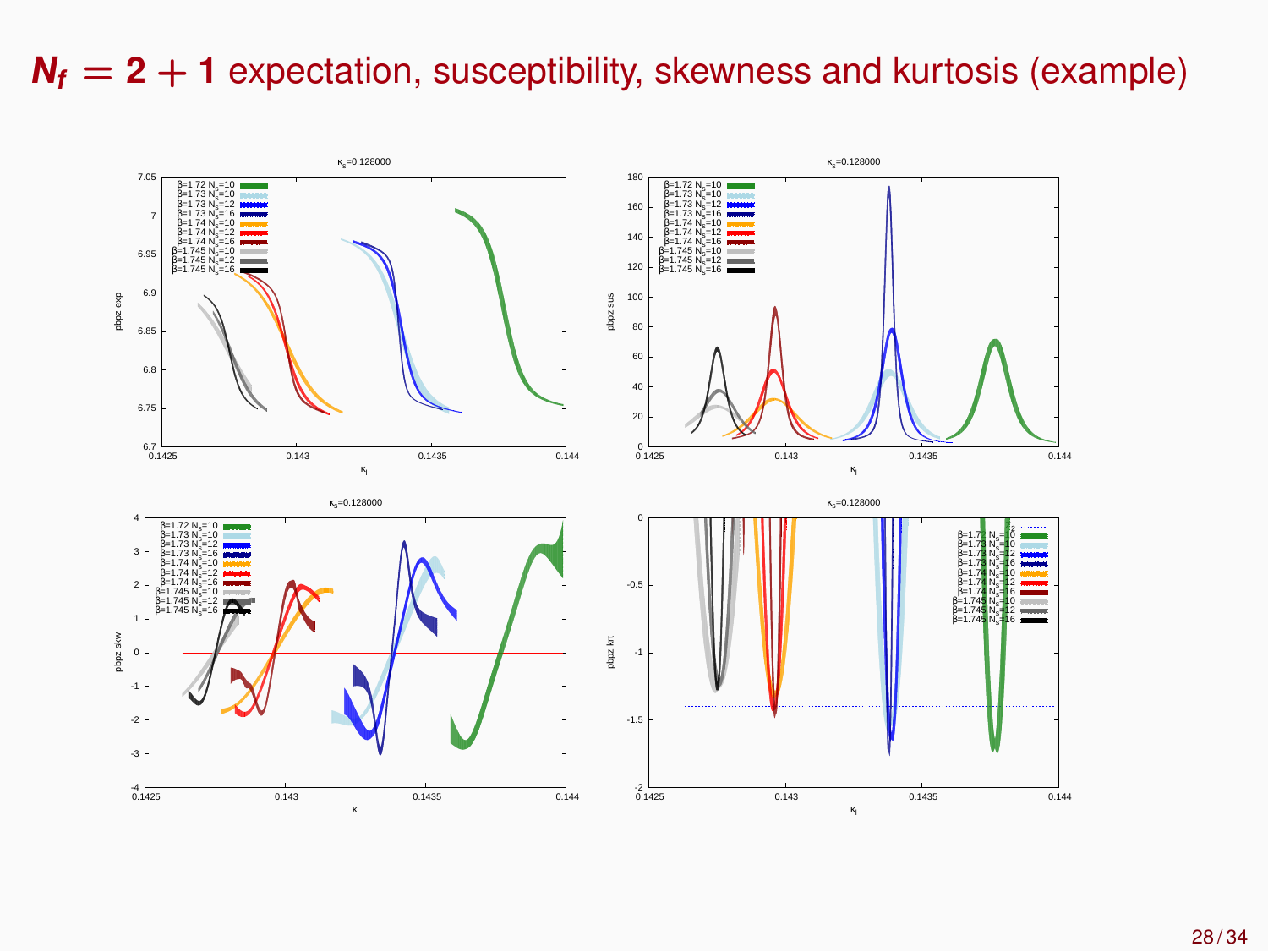#### $N_f = 2 + 1$  expectation, susceptibility, skewness and kurtosis (example)

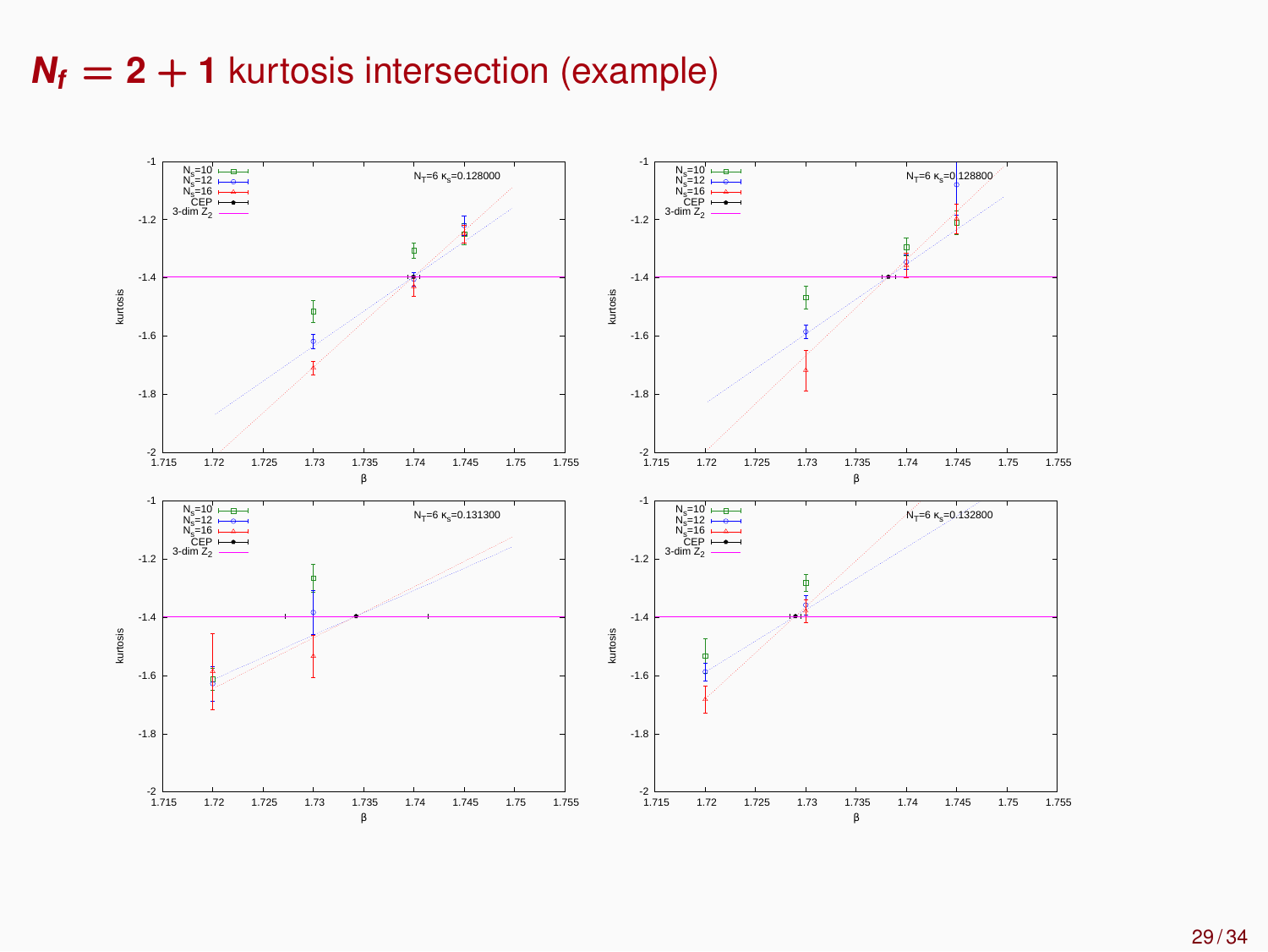#### $N_f = 2 + 1$  kurtosis intersection (example)

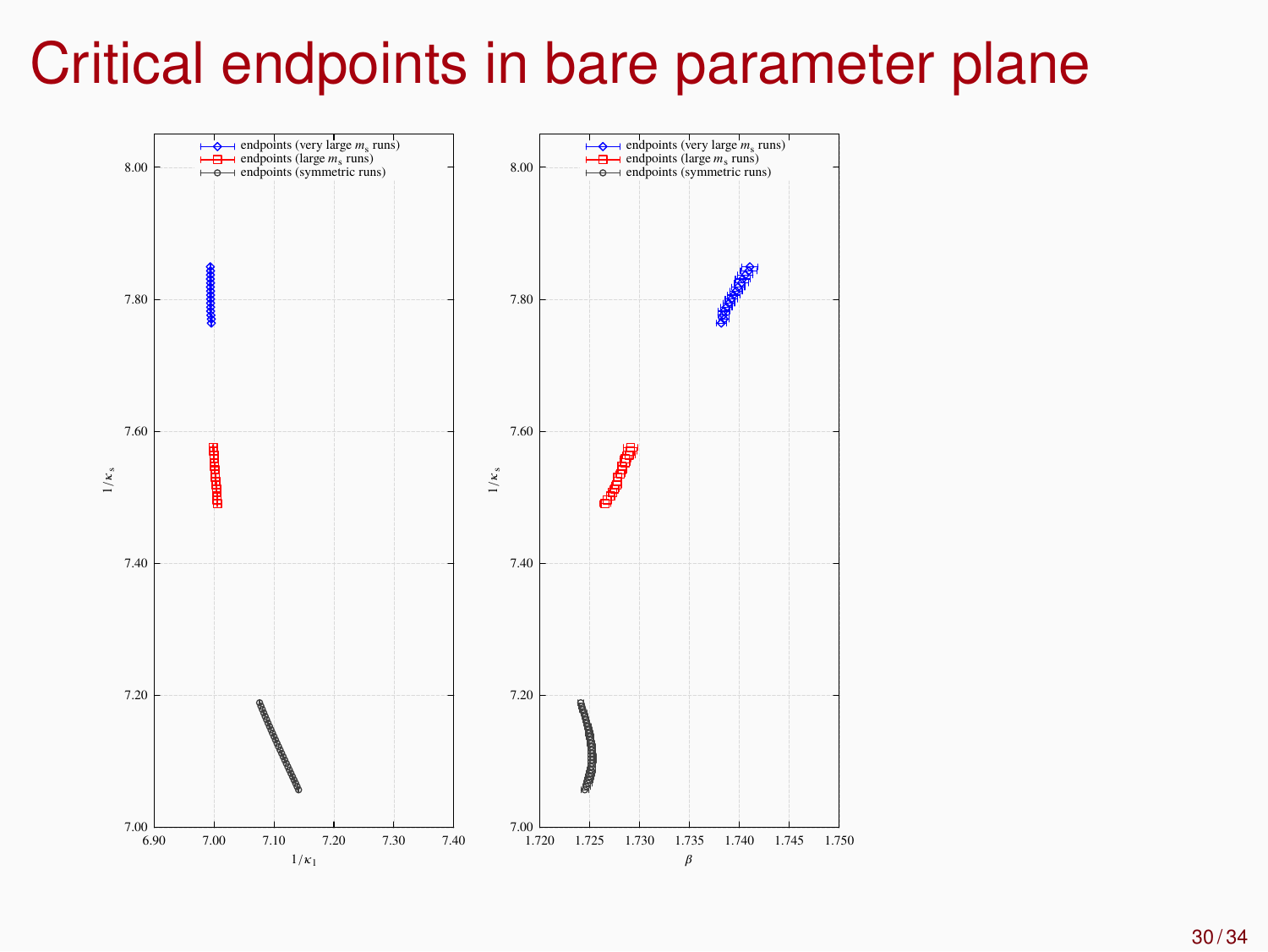# Critical endpoints in bare parameter plane

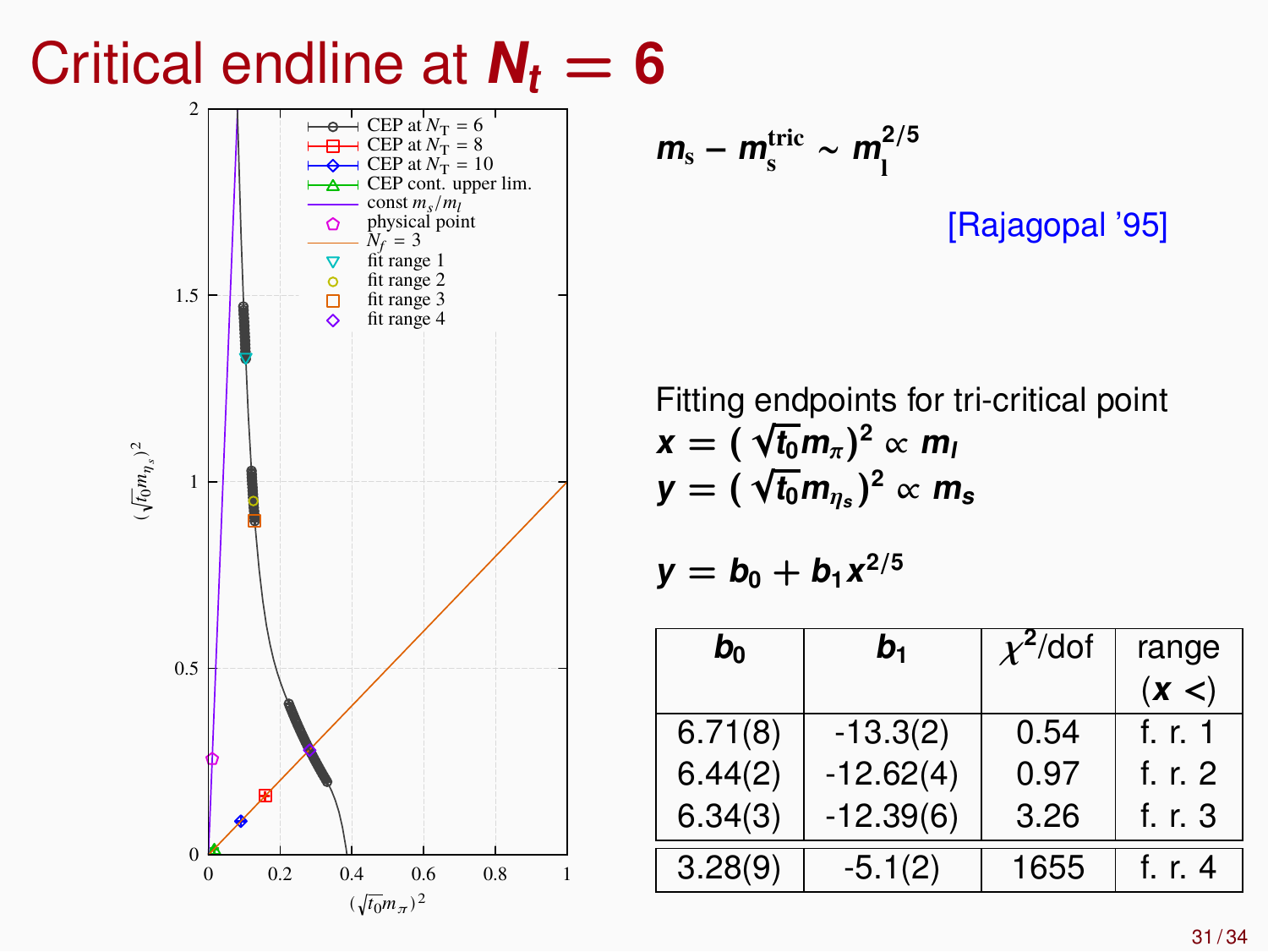# Critical endline at  $N_t = 6$



$$
m_{\rm s}-m_{\rm s}^{\rm tric} \sim m_{\rm l}^{2/5}
$$

[Rajagopal '95]

Fitting endpoints for tri-critical point  $\mathbf{x} = (\sqrt{\mathbf{t}_0} \mathbf{m}_{\pi})^2 \propto \mathbf{m}_{\pi}$  $\mathbf{y} = (\sqrt{\mathbf{t}_0} \mathbf{m}_{\eta_s})^2 \propto \mathbf{m}_s$ 

$$
y=b_0+b_1x^{2/5}
$$

| $b_0$   | $b_1$       | $\chi^2$ /dof | range   |  |
|---------|-------------|---------------|---------|--|
|         |             |               | (x <)   |  |
| 6.71(8) | $-13.3(2)$  | 0.54          | f. r. 1 |  |
| 6.44(2) | $-12.62(4)$ | 0.97          | f. r. 2 |  |
| 6.34(3) | $-12.39(6)$ | 3.26          | f. r. 3 |  |
| 3.28(9) | $-5.1(2)$   | 1655          | t. r. 4 |  |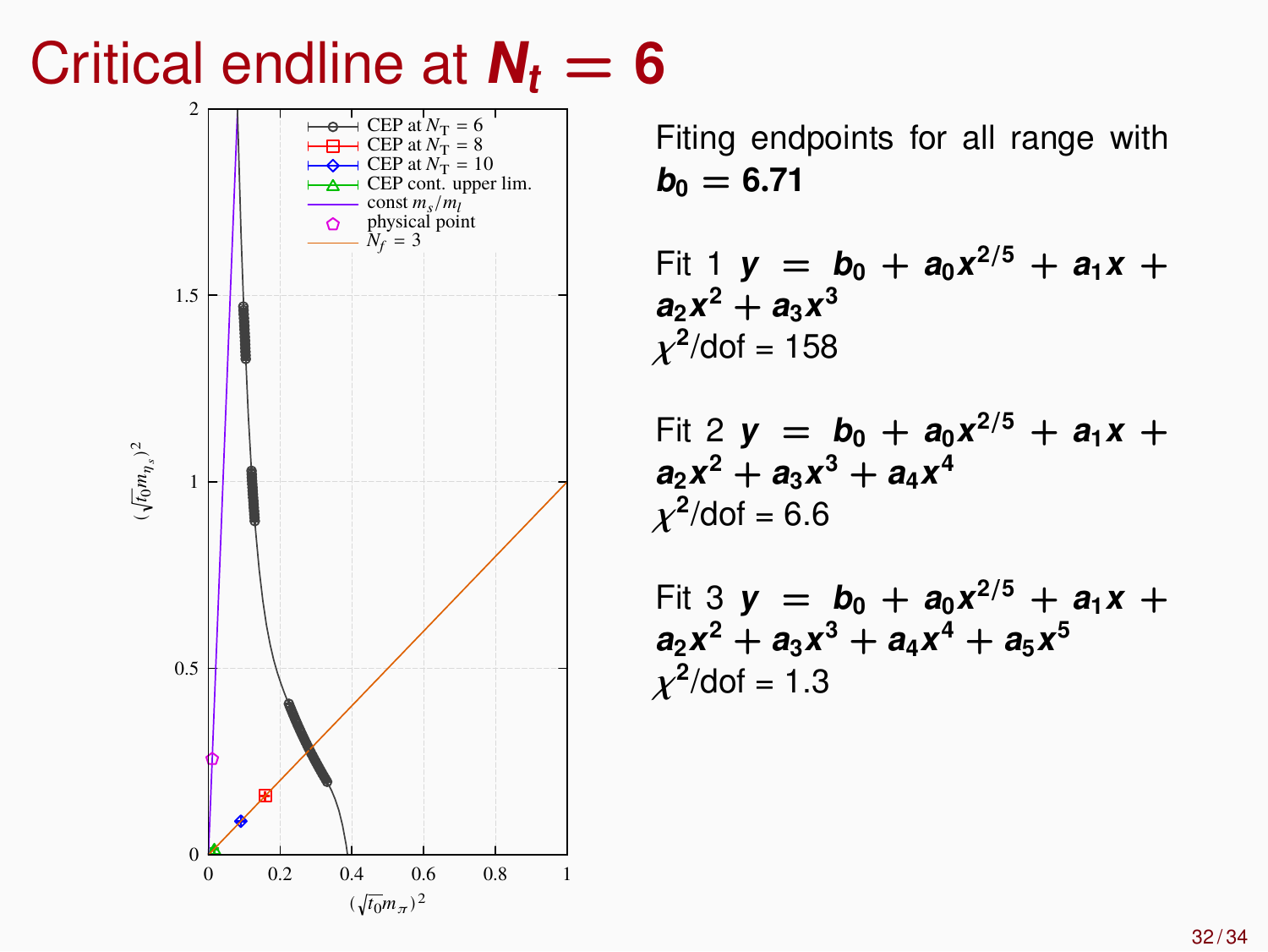# Critical endline at  $N_t = 6$



Fiting endpoints for all range with  $b_0 = 6.71$ 

Fit 1 
$$
y = b_0 + a_0x^{2/5} + a_1x + a_2x^2 + a_3x^3
$$
  
 $\chi^2/\text{dof} = 158$ 

Fit 2 
$$
y = b_0 + a_0x^{2/5} + a_1x + a_2x^2 + a_3x^3 + a_4x^4
$$
  
 $\chi^2/\text{dof} = 6.6$ 

Fit 3 
$$
y = b_0 + a_0x^{2/5} + a_1x + a_2x^2 + a_3x^3 + a_4x^4 + a_5x^5
$$
  
 $\chi^2/\text{dof} = 1.3$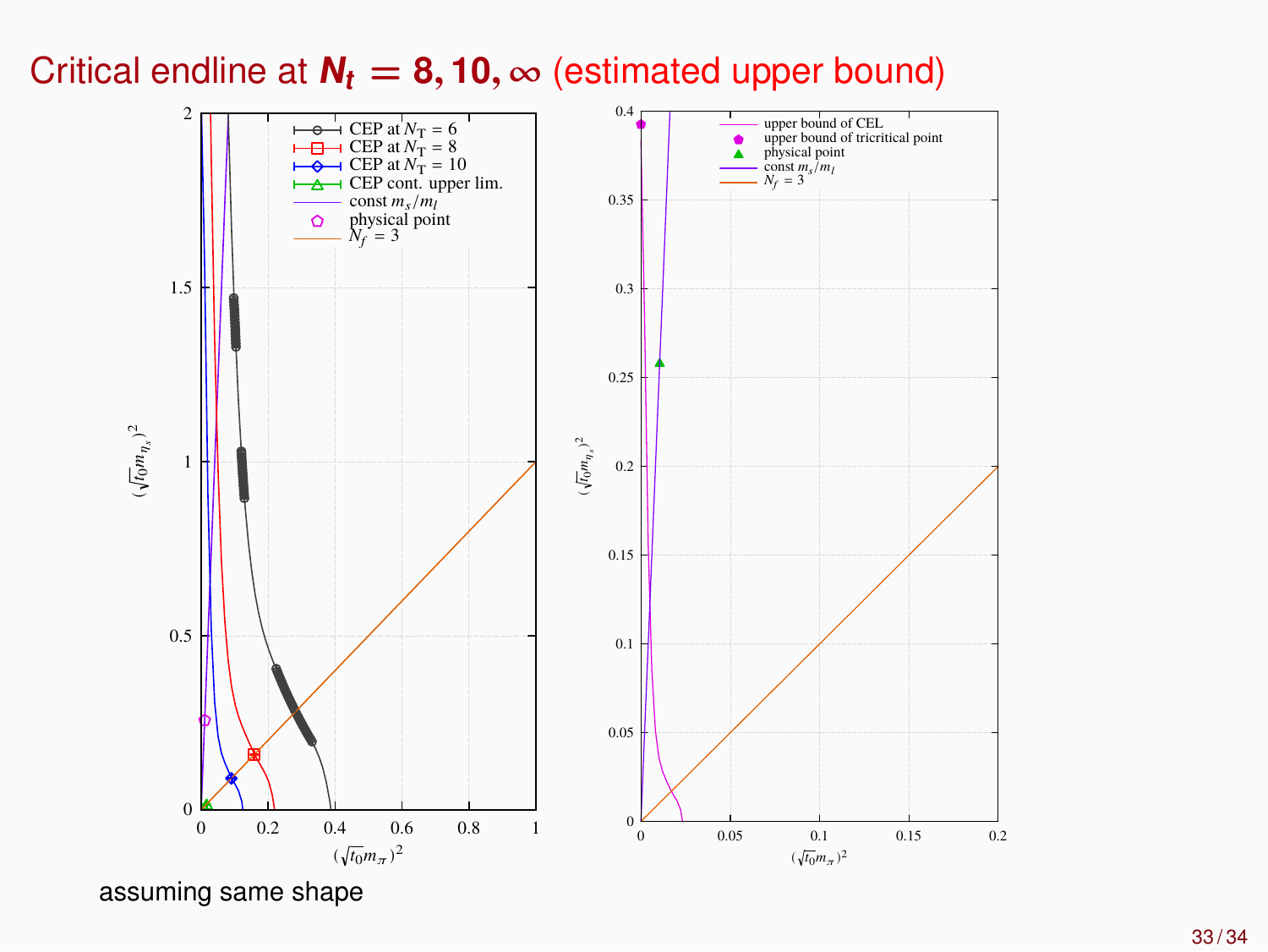Critical endline at  $N_t = 8, 10, \infty$  (estimated upper bound)



assuming same shape